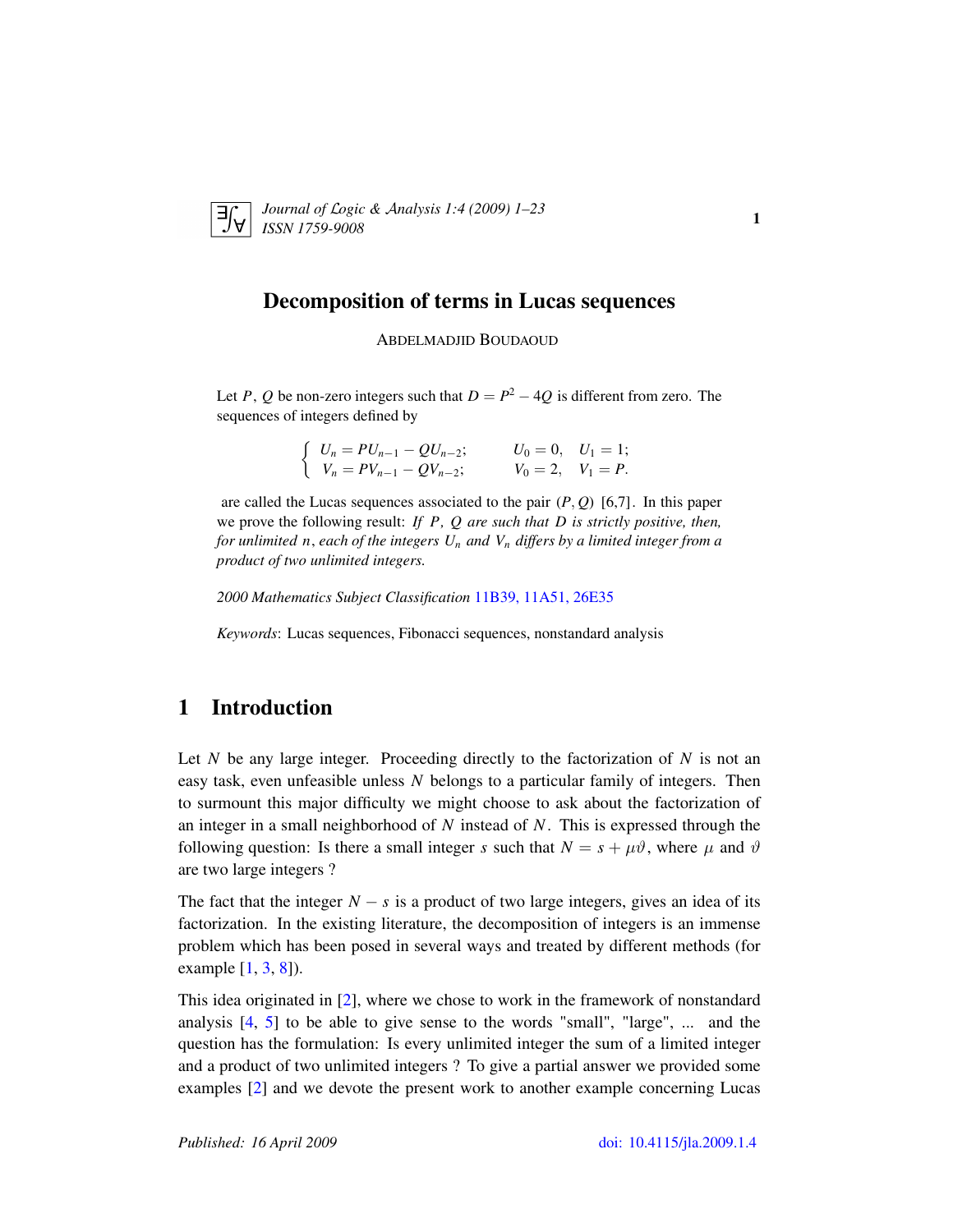<span id="page-0-0"></span>

*Journal of* L*ogic &* A*nalysis 1:4 (2009) 1–23 ISSN 1759-9008* 1.4 (2005) 1 25

## Decomposition of terms in Lucas sequences

ABDELMADJID BOUDAOUD

Let *P*, *Q* be non-zero integers such that  $D = P^2 - 4Q$  is different from zero. The sequences of integers defined by

$$
\begin{cases}\nU_n = PU_{n-1} - QU_{n-2}; & U_0 = 0, U_1 = 1; \\
V_n = PV_{n-1} - QU_{n-2}; & V_0 = 2, V_1 = P.\n\end{cases}
$$

are called the Lucas sequences associated to the pair  $(P, Q)$  [6,7]. In this paper we prove the following result: *If P, Q are such that D is strictly positive, then, for unlimited n*, *each of the integers U<sup>n</sup> and V<sup>n</sup> differs by a limited integer from a product of two unlimited integers.*

*2000 Mathematics Subject Classification* [11B39, 11A51, 26E35](http://www.ams.org/mathscinet/search/mscdoc.html?code=11B39, 11A51, 26E35)

*Keywords*: Lucas sequences, Fibonacci sequences, nonstandard analysis

# 1 Introduction

Let *N* be any large integer. Proceeding directly to the factorization of *N* is not an easy task, even unfeasible unless *N* belongs to a particular family of integers. Then to surmount this major difficulty we might choose to ask about the factorization of an integer in a small neighborhood of *N* instead of *N*. This is expressed through the following question: Is there a small integer *s* such that  $N = s + \mu \vartheta$ , where  $\mu$  and  $\vartheta$ are two large integers ?

The fact that the integer  $N - s$  is a product of two large integers, gives an idea of its factorization. In the existing literature, the decomposition of integers is an immense problem which has been posed in several ways and treated by different methods (for example [\[1,](#page-22-0) [3,](#page-22-1) [8\]](#page-22-2)).

This idea originated in [\[2\]](#page-22-3), where we chose to work in the framework of nonstandard analysis [\[4,](#page-22-4) [5\]](#page-22-5) to be able to give sense to the words "small", "large", ... and the question has the formulation: Is every unlimited integer the sum of a limited integer and a product of two unlimited integers ? To give a partial answer we provided some examples [\[2\]](#page-22-3) and we devote the present work to another example concerning Lucas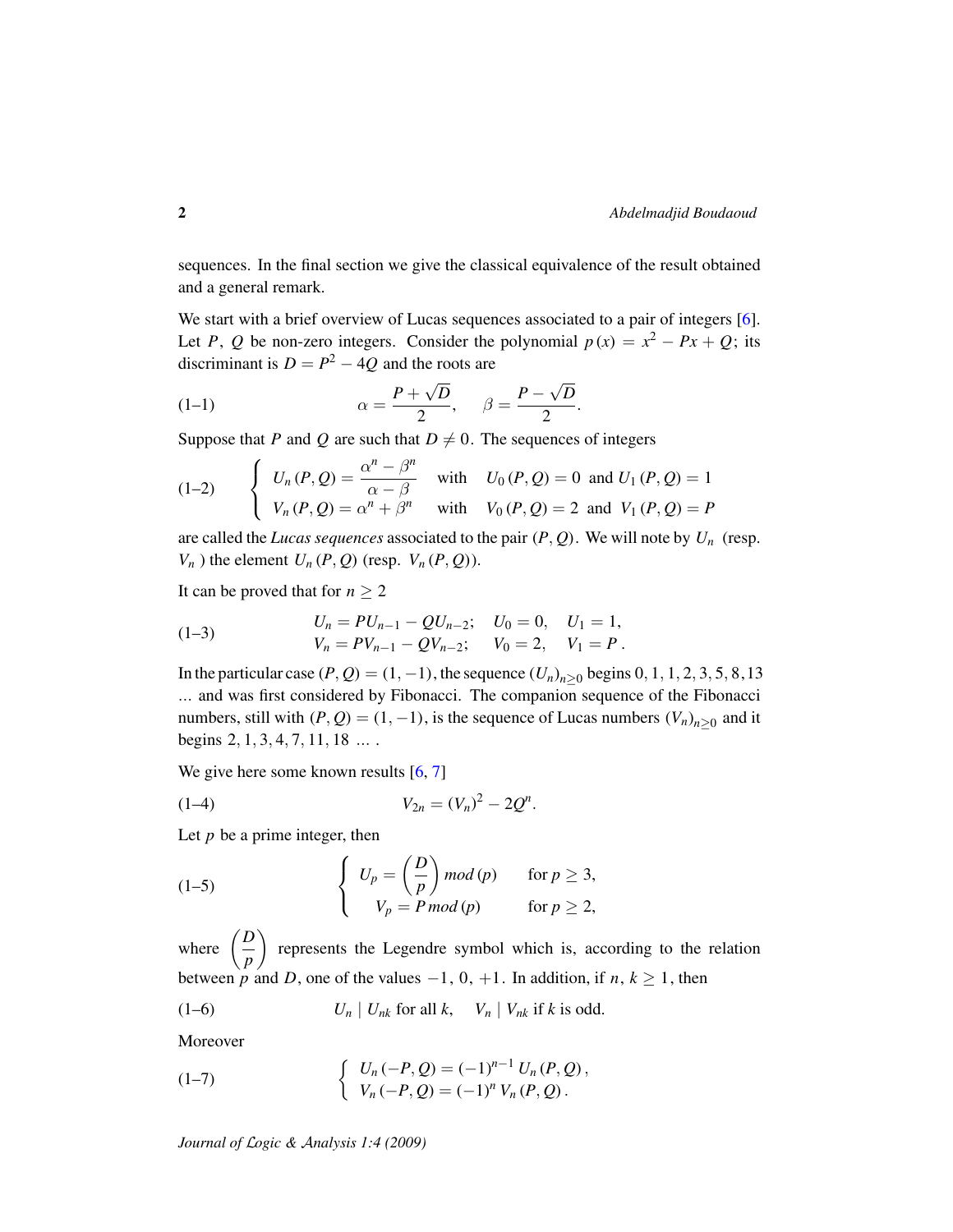sequences. In the final section we give the classical equivalence of the result obtained and a general remark.

We start with a brief overview of Lucas sequences associated to a pair of integers [\[6\]](#page-22-6). Let *P*, *Q* be non-zero integers. Consider the polynomial  $p(x) = x^2 - Px + Q$ ; its discriminant is  $D = P^2 - 4Q$  and the roots are

(1-1) 
$$
\alpha = \frac{P + \sqrt{D}}{2}, \quad \beta = \frac{P - \sqrt{D}}{2}.
$$

Suppose that *P* and *Q* are such that  $D \neq 0$ . The sequences of integers

<span id="page-1-1"></span>(1-2) 
$$
\begin{cases} U_n(P,Q) = \frac{\alpha^n - \beta^n}{\alpha - \beta} & \text{with} \quad U_0(P,Q) = 0 \text{ and } U_1(P,Q) = 1 \\ V_n(P,Q) = \alpha^n + \beta^n & \text{with} \quad V_0(P,Q) = 2 \text{ and } V_1(P,Q) = P \end{cases}
$$

are called the *Lucas sequences* associated to the pair (*P*, *Q*). We will note by *U<sup>n</sup>* (resp.  $V_n$ ) the element  $U_n$  (*P*, *Q*) (resp.  $V_n$  (*P*, *Q*)).

It can be proved that for  $n \geq 2$ 

<span id="page-1-5"></span>(1-3) 
$$
U_n = PU_{n-1} - QU_{n-2}; \quad U_0 = 0, \quad U_1 = 1,
$$

$$
V_n = PV_{n-1} - QU_{n-2}; \quad V_0 = 2, \quad V_1 = P.
$$

In the particular case  $(P, Q) = (1, -1)$ , the sequence  $(U_n)_{n>0}$  begins  $0, 1, 1, 2, 3, 5, 8, 13$ ... and was first considered by Fibonacci. The companion sequence of the Fibonacci numbers, still with  $(P, Q) = (1, -1)$ , is the sequence of Lucas numbers  $(V_n)_{n \geq 0}$  and it begins 2, 1, 3, 4, 7, 11, 18 ... .

<span id="page-1-4"></span>.

We give here some known results [\[6,](#page-22-6) [7\]](#page-22-7)

$$
(1-4) \t\t V_{2n} = (V_n)^2 - 2Q^n
$$

Let *p* be a prime integer, then

<span id="page-1-2"></span>(1-5) 
$$
\begin{cases} U_p = \left(\frac{D}{p}\right) \mod (p) & \text{for } p \geq 3, \\ V_p = P \mod (p) & \text{for } p \geq 2, \end{cases}
$$

where  $\left(\frac{D}{D}\right)$ *p* represents the Legendre symbol which is, according to the relation between *p* and *D*, one of the values  $-1$ , 0,  $+1$ . In addition, if *n*,  $k \ge 1$ , then

<span id="page-1-3"></span>
$$
(1-6) \t\t U_n \mid U_{nk} \t{for all } k, \quad V_n \mid V_{nk} \t{if } k \t{is odd.}
$$

Moreover

<span id="page-1-0"></span>(1-7) 
$$
\begin{cases} U_n(-P,Q) = (-1)^{n-1} U_n(P,Q), \\ V_n(-P,Q) = (-1)^n V_n(P,Q). \end{cases}
$$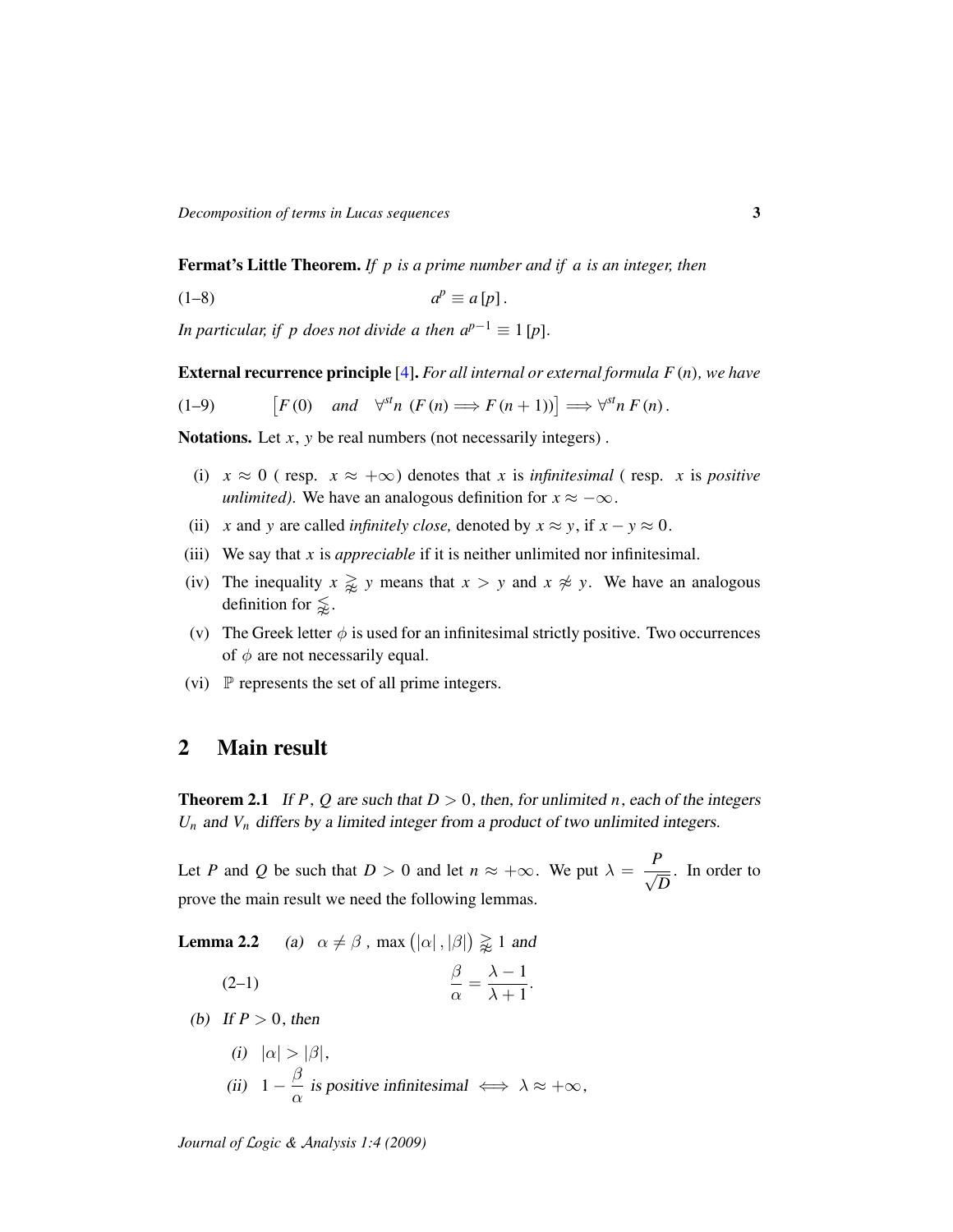Fermat's Little Theorem. *If p is a prime number and if a is an integer, then*

<span id="page-2-2"></span>
$$
(1-8) \t ap \equiv a[p].
$$

*In particular, if p does not divide a then*  $a^{p-1} \equiv 1$  *[p].* 

External recurrence principle [\[4\]](#page-22-4). *For all internal or external formula F* (*n*)*, we have*

<span id="page-2-3"></span>
$$
(1-9) \t\t [F(0) \quad and \quad \forall^{st} n \ (F(n) \Longrightarrow F(n+1))] \Longrightarrow \forall^{st} n \ F(n).
$$

Notations. Let *x*, *y* be real numbers (not necessarily integers).

- (i)  $x \approx 0$  (resp.  $x \approx +\infty$ ) denotes that *x* is *infinitesimal* (resp. *x* is *positive unlimited*). We have an analogous definition for  $x \approx -\infty$ .
- (ii) *x* and *y* are called *infinitely close*, denoted by  $x \approx y$ , if  $x y \approx 0$ .
- (iii) We say that *x* is *appreciable* if it is neither unlimited nor infinitesimal.
- (iv) The inequality  $x \geq y$  means that  $x > y$  and  $x \not\approx y$ . We have an analogous definition for  $\leq$ .
- (v) The Greek letter  $\phi$  is used for an infinitesimal strictly positive. Two occurrences of  $\phi$  are not necessarily equal.
- (vi)  $\mathbb P$  represents the set of all prime integers.

### 2 Main result

<span id="page-2-1"></span>**Theorem 2.1** If *P*, *Q* are such that  $D > 0$ , then, for unlimited *n*, each of the integers  $U_n$  and  $V_n$  differs by a limited integer from a product of two unlimited integers.

Let *P* and *Q* be such that  $D > 0$  and let  $n \approx +\infty$ . We put  $\lambda = \frac{P}{\sqrt{2}}$ *D* . In order to prove the main result we need the following lemmas.

**Lemma 2.2** (a)  $\alpha \neq \beta$ , max  $(|\alpha|, |\beta|) \geq 1$  and

<span id="page-2-0"></span>
$$
\frac{\beta}{\alpha} = \frac{\lambda - 1}{\lambda + 1}.
$$

(b) If  $P > 0$ , then

(i) 
$$
|\alpha| > |\beta|
$$
,  
\n(ii)  $1 - \frac{\beta}{\alpha}$  is positive infinitesimal  $\iff \lambda \approx +\infty$ ,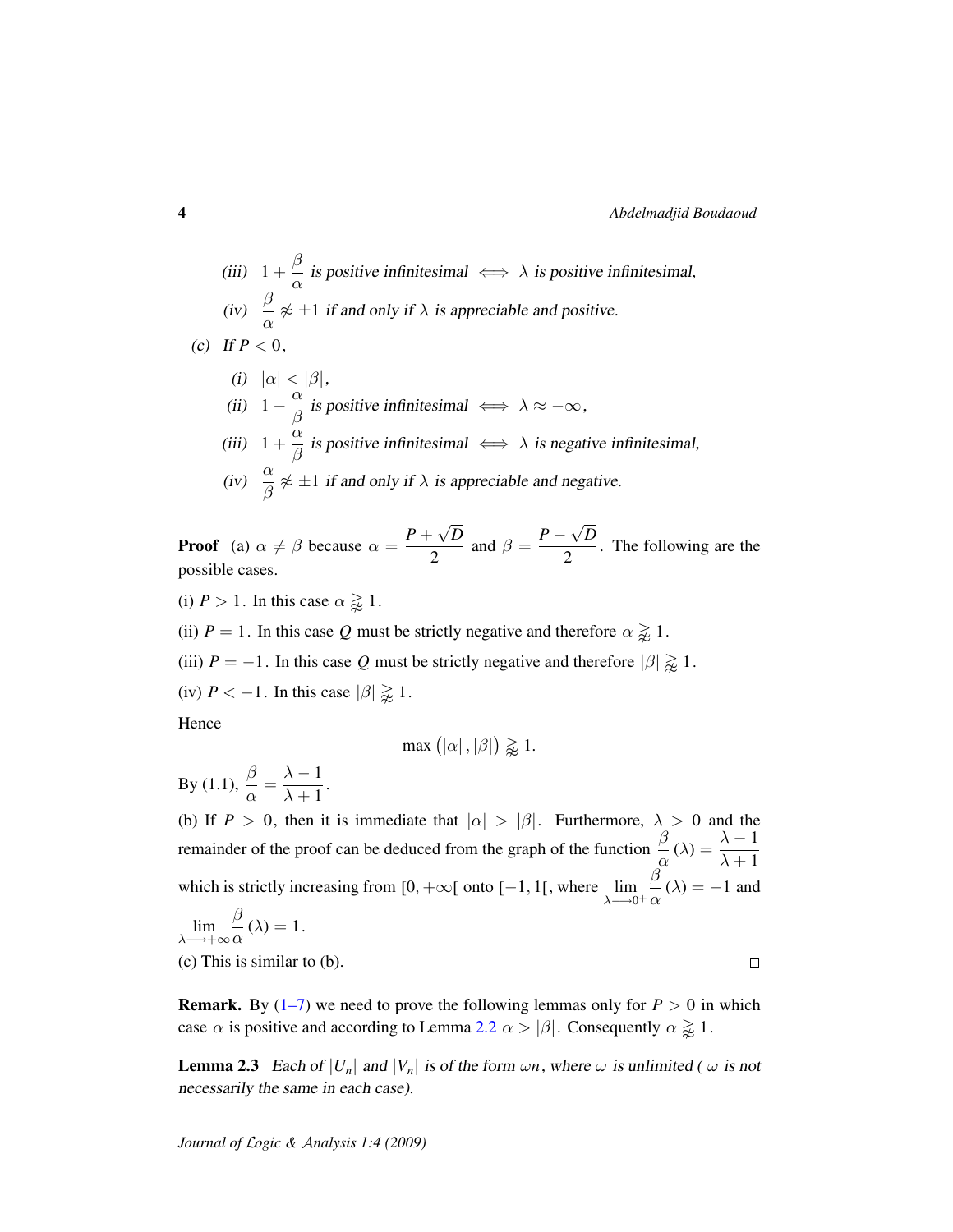$\Box$ 

(iii) 
$$
1 + \frac{\beta}{\alpha}
$$
 is positive infinitesimal  $\iff \lambda$  is positive infinitesimal,  
(iv)  $\frac{\beta}{\alpha} \not\approx \pm 1$  if and only if  $\lambda$  is appreciable and positive.

(c) If 
$$
P < 0
$$
,

\n- (i) 
$$
|\alpha| < |\beta|
$$
,
\n- (ii)  $1 - \frac{\alpha}{\beta}$  is positive infinitesimal  $\iff \lambda \approx -\infty$ ,
\n- (iii)  $1 + \frac{\alpha}{\beta}$  is positive infinitesimal  $\iff \lambda$  is negative infinitesimal,
\n- (iv)  $\frac{\alpha}{\beta} \not\approx \pm 1$  if and only if  $\lambda$  is appreciable and negative.
\n

**Proof** (a)  $\alpha \neq \beta$  because  $\alpha = \frac{P+P}{\beta}$ √ *D*  $\frac{Q}{2}$  and  $\beta = \frac{P - Q}{Q}$ √ *D*  $\frac{\sqrt{2}}{2}$ . The following are the possible cases.

(i)  $P > 1$ . In this case  $\alpha \geq 1$ .

(ii)  $P = 1$ . In this case Q must be strictly negative and therefore  $\alpha \geq 1$ .

(iii)  $P = -1$ . In this case Q must be strictly negative and therefore  $|\beta| \geq 1$ .

(iv)  $P < -1$ . In this case  $|\beta| \geq 1$ .

Hence

$$
\max\left(|\alpha|, |\beta|\right) \geq 1.
$$

By (1.1),  $\frac{\beta}{\alpha}$  $\frac{\beta}{\alpha} = \frac{\lambda - 1}{\lambda + 1}$  $\frac{\lambda}{\lambda+1}$ .

(b) If  $P > 0$ , then it is immediate that  $|\alpha| > |\beta|$ . Furthermore,  $\lambda > 0$  and the remainder of the proof can be deduced from the graph of the function  $\frac{\beta}{\alpha}(\lambda) = \frac{\lambda - 1}{\lambda + 1}$  $\lambda + 1$ which is strictly increasing from [0, + $\infty$ [ onto [-1, 1[, where  $\lim_{\lambda \to 0^+}$ β  $\frac{\partial}{\partial \alpha}(\lambda) = -1$  and

$$
\lim_{\lambda \to +\infty} \frac{\beta}{\alpha}(\lambda) = 1.
$$

(c) This is similar to (b).

**Remark.** By  $(1-7)$  we need to prove the following lemmas only for  $P > 0$  in which case  $\alpha$  is positive and according to Lemma [2.2](#page-0-0)  $\alpha > |\beta|$ . Consequently  $\alpha \gtrapprox 1$ .

<span id="page-3-0"></span>**Lemma 2.3** Each of  $|U_n|$  and  $|V_n|$  is of the form  $\omega n$ , where  $\omega$  is unlimited ( $\omega$  is not necessarily the same in each case).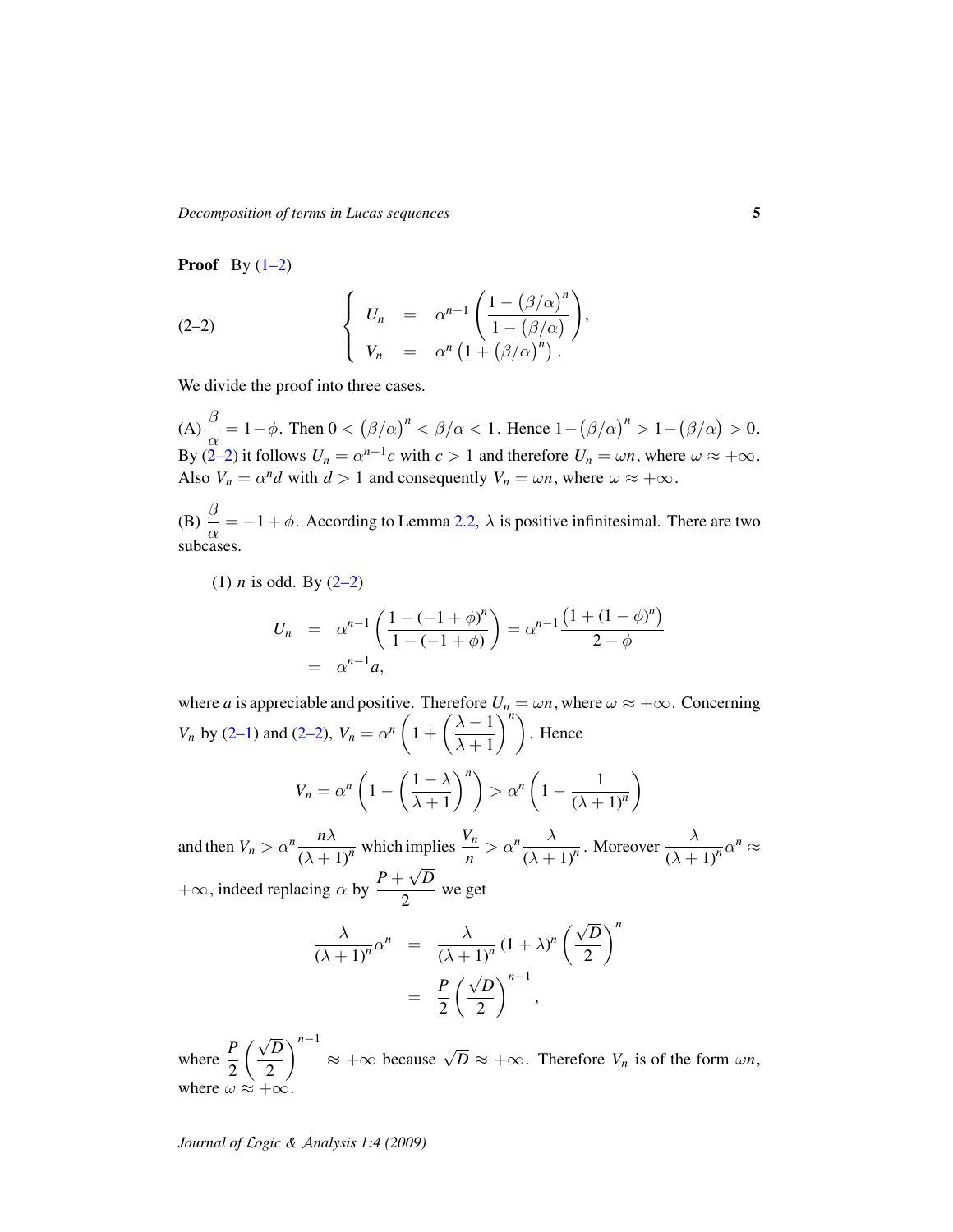*Decomposition of terms in Lucas sequences* 5

**Proof** By  $(1-2)$ 

<span id="page-4-0"></span>(2-2) 
$$
\begin{cases} U_n = \alpha^{n-1} \left( \frac{1 - (\beta/\alpha)^n}{1 - (\beta/\alpha)} \right), \\ V_n = \alpha^n \left( 1 + (\beta/\alpha)^n \right). \end{cases}
$$

We divide the proof into three cases.

 $(A) \stackrel{\beta}{\underline{\phantom{a}}}\$  $\frac{\beta}{\alpha} = 1 - \phi$ . Then  $0 < (\beta/\alpha)^n < \beta/\alpha < 1$ . Hence  $1 - (\beta/\alpha)^n > 1 - (\beta/\alpha) > 0$ . By [\(2–2\)](#page-4-0) it follows  $U_n = \alpha^{n-1}c$  with  $c > 1$  and therefore  $U_n = \omega n$ , where  $\omega \approx +\infty$ . Also  $V_n = \alpha^n d$  with  $d > 1$  and consequently  $V_n = \omega n$ , where  $\omega \approx +\infty$ .

(B)  $\stackrel{\beta}{\equiv}$  $\frac{\partial}{\partial \alpha} = -1 + \phi$ . According to Lemma [2.2,](#page-0-0)  $\lambda$  is positive infinitesimal. There are two subcases.

(1) *n* is odd. By  $(2-2)$ 

$$
U_n = \alpha^{n-1} \left( \frac{1 - (-1 + \phi)^n}{1 - (-1 + \phi)} \right) = \alpha^{n-1} \frac{\left( 1 + (1 - \phi)^n \right)}{2 - \phi}
$$
  
=  $\alpha^{n-1} a$ ,

where *a* is appreciable and positive. Therefore  $U_n = \omega n$ , where  $\omega \approx +\infty$ . Concerning *V<sub>n</sub>* by [\(2–1\)](#page-2-0) and [\(2–2\)](#page-4-0),  $V_n = \alpha^n \left( 1 + \left( \frac{\lambda - 1}{\lambda - 1} \right)$  $\lambda + 1$  $\int_{0}^{\pi}$ . Hence  $V_n = \alpha^n \left( 1 - \left( \frac{1-\lambda}{\lambda+1} \right) \right)$  $\lambda + 1$  $\binom{n}{n} > \alpha^n \left(1 - \frac{1}{\alpha} \right)$  $(\lambda + 1)^n$  $\setminus$ 

and then  $V_n > \alpha^n \frac{n\lambda}{\lambda}$  $\frac{n\lambda}{(\lambda+1)^n}$  which implies  $\frac{V_n}{n} > \alpha^n \frac{\lambda}{(\lambda+1)^n}$  $\frac{\lambda}{(\lambda+1)^n}$ . Moreover  $\frac{\lambda}{(\lambda+1)^n}$  $\frac{\lambda}{(\lambda+1)^n} \alpha^n \approx$  $+\infty$ , indeed replacing  $\alpha$  by  $\frac{P + \sqrt{D}}{2}$ √  $\frac{1}{2}$  we get

$$
\frac{\lambda}{(\lambda+1)^n} \alpha^n = \frac{\lambda}{(\lambda+1)^n} (1+\lambda)^n \left(\frac{\sqrt{D}}{2}\right)^n
$$

$$
= \frac{P}{2} \left(\frac{\sqrt{D}}{2}\right)^{n-1},
$$

where  $\frac{P}{2}$ √ *D* 2  $\int_{0}^{n-1}$  ≈ +∞ because  $\sqrt{D}$  ≈ +∞. Therefore *V<sub>n</sub>* is of the form  $\omega n$ , where  $\omega \approx +\infty$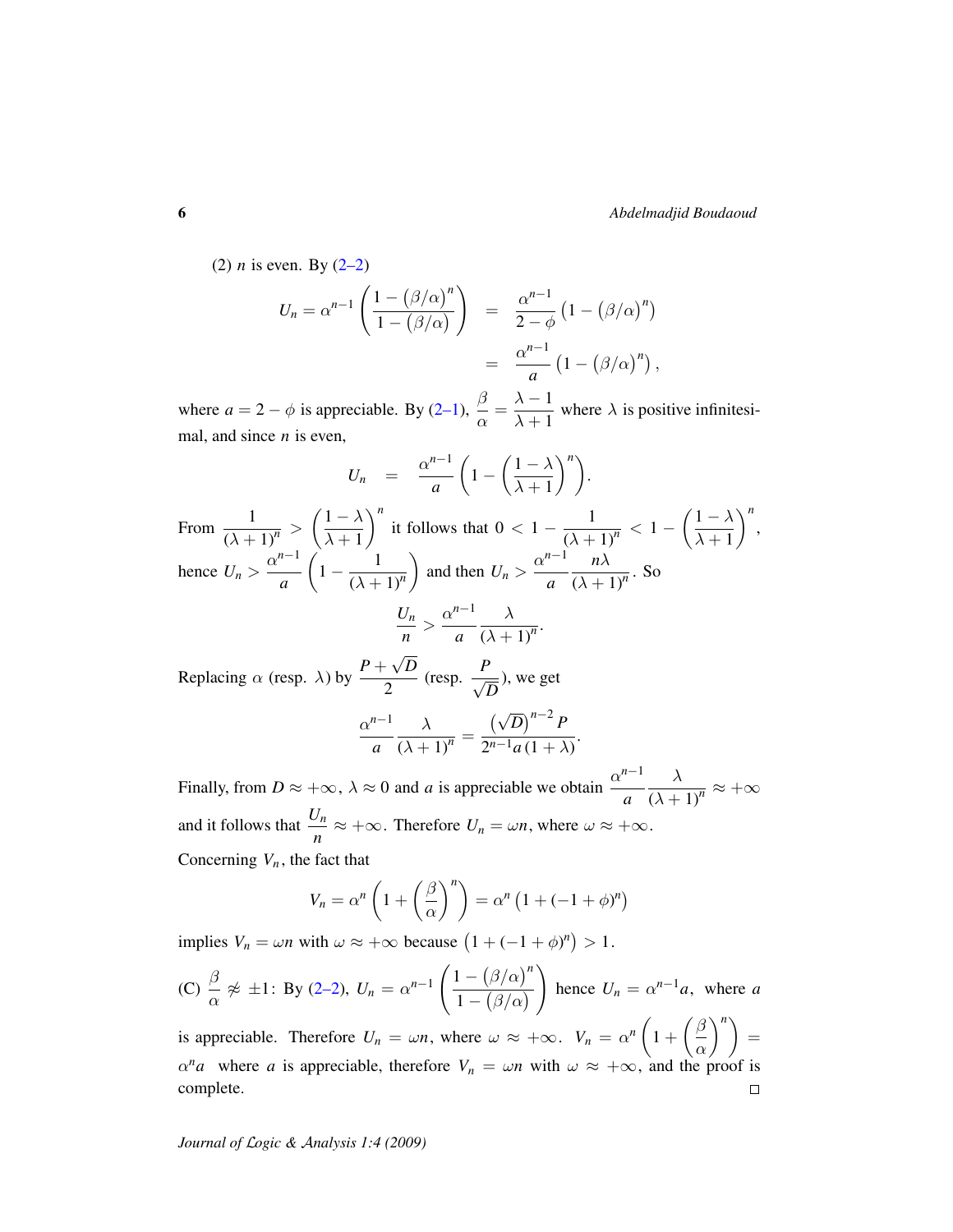(2) *n* is even. By  $(2-2)$ 

$$
U_n = \alpha^{n-1} \left( \frac{1 - (\beta/\alpha)^n}{1 - (\beta/\alpha)} \right) = \frac{\alpha^{n-1}}{2 - \phi} \left( 1 - (\beta/\alpha)^n \right)
$$

$$
= \frac{\alpha^{n-1}}{a} \left( 1 - (\beta/\alpha)^n \right),
$$

where  $a = 2 - \phi$  is appreciable. By [\(2–1\)](#page-2-0),  $\beta$  $\frac{\beta}{\alpha} = \frac{\lambda - 1}{\lambda + 1}$  $\frac{\lambda}{\lambda+1}$  where  $\lambda$  is positive infinitesimal, and since *n* is even,

$$
U_n = \frac{\alpha^{n-1}}{a} \left( 1 - \left( \frac{1 - \lambda}{\lambda + 1} \right)^n \right).
$$
  
From  $\frac{1}{(\lambda + 1)^n} > \left( \frac{1 - \lambda}{\lambda + 1} \right)^n$  it follows that  $0 < 1 - \frac{1}{(\lambda + 1)^n} < 1 - \left( \frac{1 - \lambda}{\lambda + 1} \right)^n$ ,  
hence  $U_n > \frac{\alpha^{n-1}}{a} \left( 1 - \frac{1}{(\lambda + 1)^n} \right)$  and then  $U_n > \frac{\alpha^{n-1}}{a} \frac{n\lambda}{(\lambda + 1)^n}$ . So  
 $\frac{U_n}{n} > \frac{\alpha^{n-1}}{a} \frac{\lambda}{(\lambda + 1)^n}$ .  
Replacing  $\alpha$  (resp.  $\lambda$ ) by  $\frac{P + \sqrt{D}}{2}$  (resp.  $\frac{P}{\sqrt{D}}$ ), we get

 $\frac{P}{2}$  (resp.  $\frac{P}{\sqrt{l}}$ *D* ), we get

$$
\frac{\alpha^{n-1}}{a}\frac{\lambda}{(\lambda+1)^n} = \frac{(\sqrt{D})^{n-2} P}{2^{n-1} a (1+\lambda)}.
$$

Finally, from  $D \approx +\infty$ ,  $\lambda \approx 0$  and *a* is appreciable we obtain  $\frac{\alpha^{n-1}}{\alpha}$ *a* λ  $\frac{\lambda}{(\lambda+1)^n} \approx +\infty$ and it follows that  $\frac{U_n}{n} \approx +\infty$ . Therefore  $U_n = \omega n$ , where  $\omega \approx +\infty$ . Concerning  $V_n$ , the fact that

$$
V_n = \alpha^n \left( 1 + \left( \frac{\beta}{\alpha} \right)^n \right) = \alpha^n \left( 1 + (-1 + \phi)^n \right)
$$

implies  $V_n = \omega n$  with  $\omega \approx +\infty$  because  $(1 + (-1 + \phi)^n) > 1$ .

(C) 
$$
\frac{\beta}{\alpha} \not\approx \pm 1
$$
: By (2-2),  $U_n = \alpha^{n-1} \left( \frac{1 - (\beta/\alpha)^n}{1 - (\beta/\alpha)} \right)$  hence  $U_n = \alpha^{n-1}a$ , where a

 $\binom{n}{n}$  = is appreciable. Therefore  $U_n = \omega n$ , where  $\omega \approx +\infty$ .  $V_n = \alpha^n \left(1 + \left(\frac{\beta}{2}\right)^n\right)$ α  $\alpha^n a$  where *a* is appreciable, therefore  $V_n = \omega n$  with  $\omega \approx +\infty$ , and the proof is complete.  $\Box$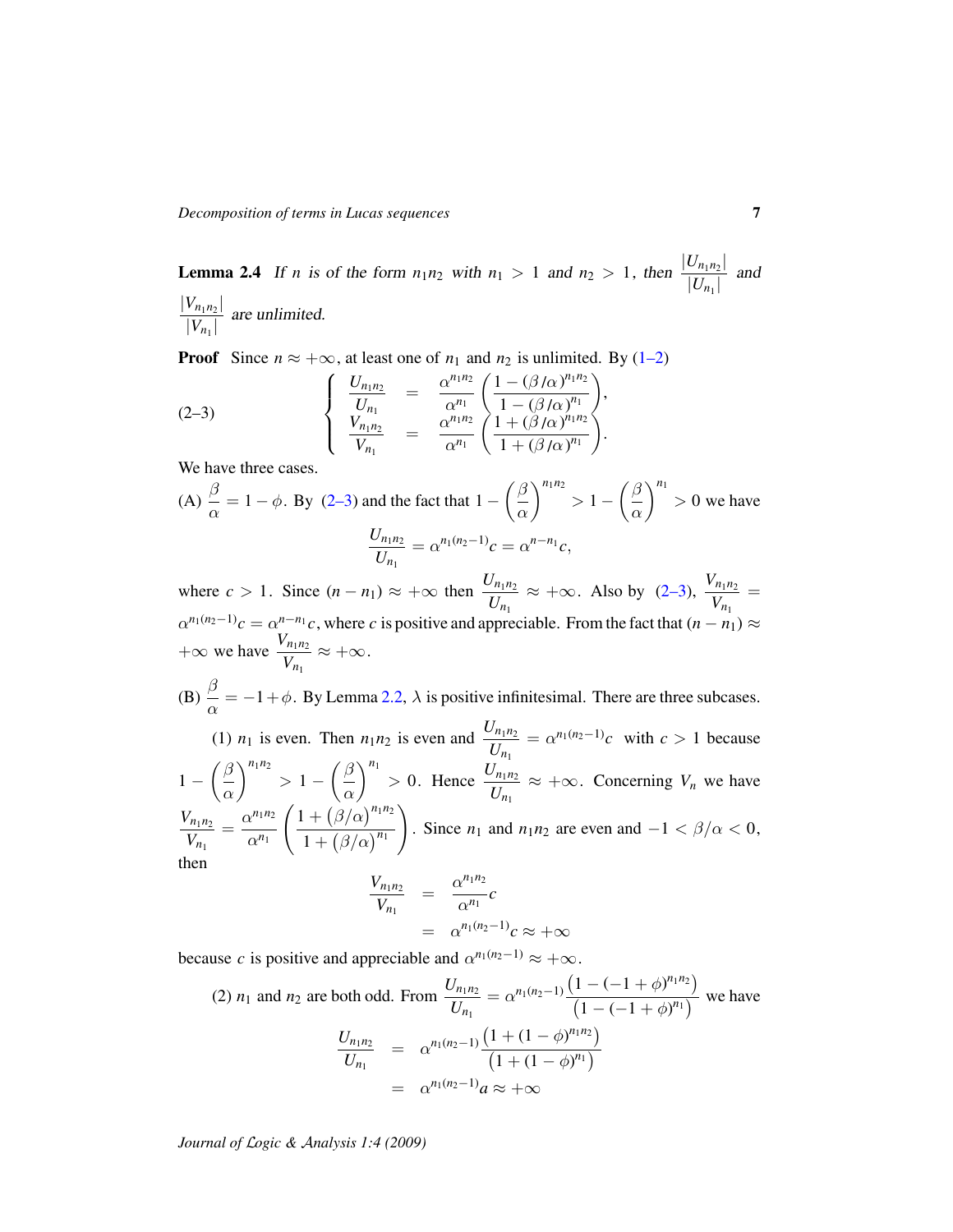<span id="page-6-1"></span>**Lemma 2.4** If *n* is of the form  $n_1n_2$  with  $n_1 > 1$  and  $n_2 > 1$ , then  $\frac{|U_{n_1n_2}|}{|U_{n_1}|}$  $\frac{U_{n_1 n_2}}{|U_{n_1}|}$  and  $|V_{n_1 n_2}|$ 

 $\frac{V_{n_1 n_2}}{|V_{n_1}|}$  are unlimited.

**Proof** Since  $n \approx +\infty$ , at least one of  $n_1$  and  $n_2$  is unlimited. By [\(1–2\)](#page-1-1)

<span id="page-6-0"></span>(2-3) 
$$
\begin{cases} \frac{U_{n_1 n_2}}{U_{n_1}} = \frac{\alpha^{n_1 n_2}}{\alpha^{n_1}} \left( \frac{1 - (\beta/\alpha)^{n_1 n_2}}{1 - (\beta/\alpha)^{n_1}} \right), \\ \frac{V_{n_1 n_2}}{V_{n_1}} = \frac{\alpha^{n_1 n_2}}{\alpha^{n_1}} \left( \frac{1 + (\beta/\alpha)^{n_1 n_2}}{1 + (\beta/\alpha)^{n_1}} \right). \end{cases}
$$

We have three cases.

(A) 
$$
\frac{\beta}{\alpha} = 1 - \phi
$$
. By (2-3) and the fact that  $1 - \left(\frac{\beta}{\alpha}\right)^{n_1 n_2} > 1 - \left(\frac{\beta}{\alpha}\right)^{n_1} > 0$  we have  

$$
\frac{U_{n_1 n_2}}{U_{n_1}} = \alpha^{n_1 (n_2 - 1)} c = \alpha^{n - n_1} c,
$$

where  $c > 1$ . Since  $(n - n_1) \approx +\infty$  then  $\frac{U_{n_1 n_2}}{U_n}$  $\frac{U_{n_1 n_2}}{U_{n_1}} \approx +\infty$ . Also by [\(2–3\)](#page-6-0),  $\frac{V_{n_1 n_2}}{V_{n_1}}$  $\frac{n_1 n_2}{V_{n_1}} =$  $\alpha^{n_1(n_2-1)}c = \alpha^{n-n_1}c$ , where *c* is positive and appreciable. From the fact that  $(n - n_1) \approx$  $+\infty$  we have  $\frac{V_{n_1n_2}}{V}$  $\frac{n_1 n_2}{V_{n_1}} \approx +\infty.$ 

 $(B)$   $\stackrel{\beta}{\equiv}$  $\frac{\partial}{\partial \alpha} = -1 + \phi$ . By Lemma [2.2,](#page-0-0)  $\lambda$  is positive infinitesimal. There are three subcases. (1)  $n_1$  is even. Then  $n_1 n_2$  is even and  $\frac{U_{n_1 n_2}}{U_n}$  $\frac{U_{n_1 n_2}}{U_{n_1}} = \alpha^{n_1(n_2-1)}c$  with  $c > 1$  because  $1 - \left(\frac{\beta}{\alpha}\right)$ α  $\int_{0}^{n_1 n_2}$  > 1 -  $\left(\frac{\beta}{n_1}\right)$ α  $\int_{0}^{n_1}$  > 0. Hence  $\frac{U_{n_1 n_2}}{I}$  $\frac{U_{n_1 n_2}}{U_{n_1}} \approx +\infty$ . Concerning  $V_n$  we have

 $V_{n_1 n_2}$  $\frac{V_{n_1 n_2}}{V_{n_1}} = \frac{\alpha^{n_1 n_2}}{\alpha^{n_1}}$  $\alpha^{n_1}$  $(1+(\beta/\alpha)^{n_1n_2})$  $1 + (\beta/\alpha)^{n_1}$  $\setminus$ . Since  $n_1$  and  $n_1n_2$  are even and  $-1 < \beta/\alpha < 0$ , then *n*1*n*<sup>2</sup>

$$
\frac{V_{n_1 n_2}}{V_{n_1}} = \frac{\alpha^{n_1 n_2}}{\alpha^{n_1}} c
$$
  
=  $\alpha^{n_1 (n_2 - 1)} c \approx +\infty$ 

because *c* is positive and appreciable and  $\alpha^{n_1(n_2-1)} \approx +\infty$ .

(2) 
$$
n_1
$$
 and  $n_2$  are both odd. From 
$$
\frac{U_{n_1 n_2}}{U_{n_1}} = \alpha^{n_1(n_2-1)} \frac{\left(1 - (-1 + \phi)^{n_1 n_2}\right)}{\left(1 - (-1 + \phi)^{n_1}\right)}
$$
 we have
$$
\frac{U_{n_1 n_2}}{U_{n_1}} = \frac{\alpha^{n_1(n_2-1)} \left(1 + (1 - \phi)^{n_1 n_2}\right)}{\left(1 + (1 - \phi)^{n_1}\right)}
$$

$$
= \alpha^{n_1(n_2-1)} a \approx +\infty
$$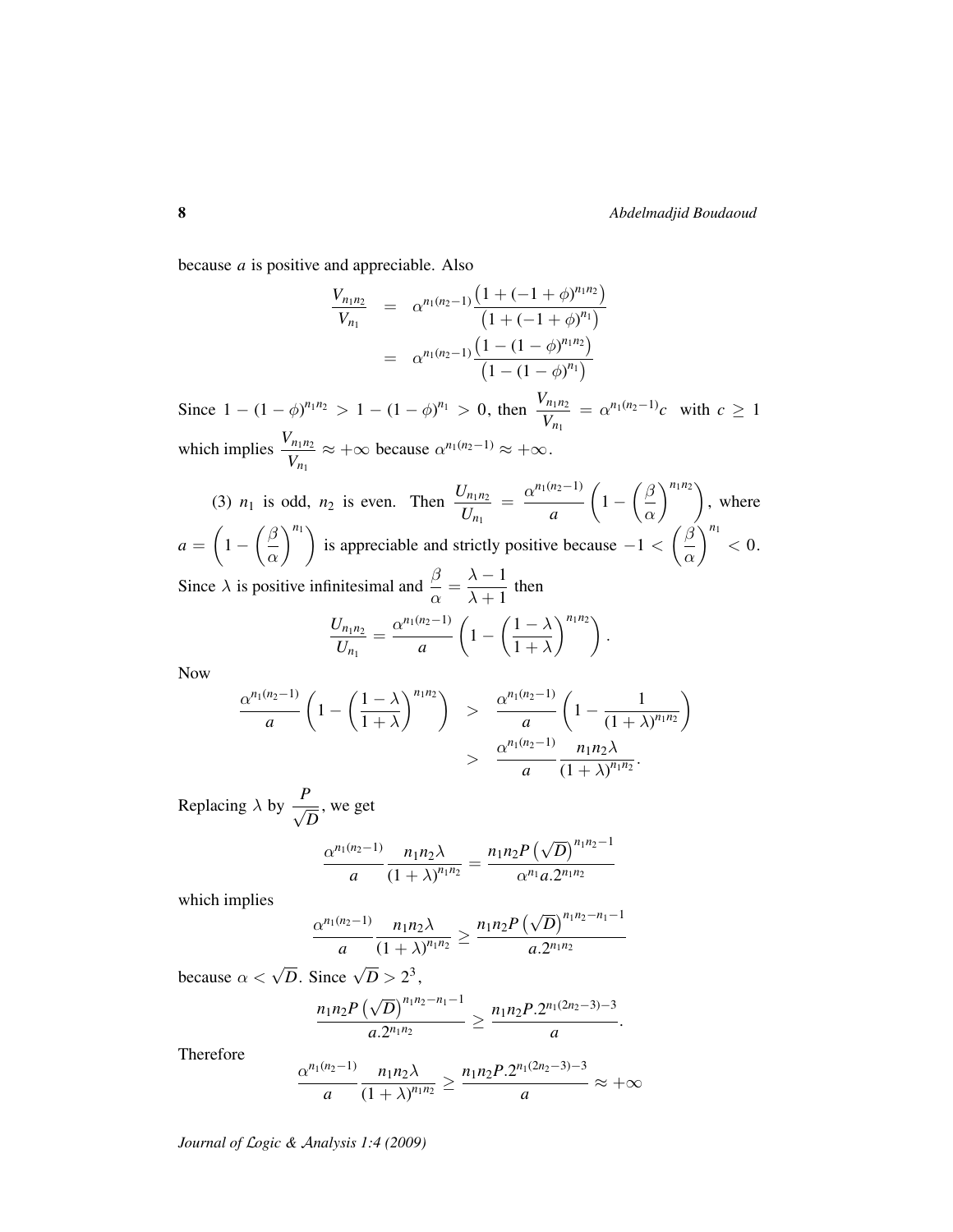because *a* is positive and appreciable. Also

$$
\frac{V_{n_1 n_2}}{V_{n_1}} = \alpha^{n_1(n_2-1)} \frac{\left(1 + (-1 + \phi)^{n_1 n_2}\right)}{\left(1 + (-1 + \phi)^{n_1}\right)}
$$

$$
= \alpha^{n_1(n_2-1)} \frac{\left(1 - (1 - \phi)^{n_1 n_2}\right)}{\left(1 - (1 - \phi)^{n_1}\right)}
$$

Since  $1 - (1 - \phi)^{n_1 n_2} > 1 - (1 - \phi)^{n_1} > 0$ , then  $\frac{V_{n_1 n_2}}{V_n}$  $\frac{V_{n_1 n_2}}{V_{n_1}} = \alpha^{n_1(n_2-1)} c$  with  $c \ge 1$ which implies  $\frac{V_{n_1 n_2}}{V_1}$  $\frac{V_{n_1 n_2}}{V_{n_1}} \approx +\infty$  because  $\alpha^{n_1(n_2-1)} \approx +\infty$ .

(3)  $n_1$  is odd,  $n_2$  is even. Then  $\frac{U_{n_1 n_2}}{U_n}$  $\frac{U_{n_1 n_2}}{U_{n_1}} = \frac{\alpha^{n_1(n_2-1)}}{a}$ *a*  $\left(1-\left(\frac{\beta}{\alpha}\right)\right)$ α  $\binom{n_1 n_2}{n_1}$ , where  $a = \left(1 - \left(\frac{\beta}{\beta}\right)\right)$ α  $\binom{n_1}{n_2}$  is appreciable and strictly positive because  $-1 < \left(\frac{\beta}{n_1}\right)^n$ α  $\left| \rule{0cm}{1.2cm}\right|^{n_1} < 0.$ Since  $\lambda$  is positive infinitesimal and  $\frac{\beta}{\alpha} = \frac{\lambda - 1}{\lambda + 1}$  $\frac{\lambda}{\lambda+1}$  then

$$
\frac{U_{n_1 n_2}}{U_{n_1}} = \frac{\alpha^{n_1(n_2-1)}}{a} \left( 1 - \left( \frac{1-\lambda}{1+\lambda} \right)^{n_1 n_2} \right).
$$

Now

$$
\frac{\alpha^{n_1(n_2-1)}}{a} \left(1 - \left(\frac{1-\lambda}{1+\lambda}\right)^{n_1n_2}\right) > \frac{\alpha^{n_1(n_2-1)}}{a} \left(1 - \frac{1}{(1+\lambda)^{n_1n_2}}\right) > \frac{\alpha^{n_1(n_2-1)}}{a} \frac{n_1n_2\lambda}{(1+\lambda)^{n_1n_2}}.
$$

Replacing  $\lambda$  by  $\frac{P}{\sqrt{2}}$ *D* , we get

$$
\frac{\alpha^{n_1(n_2-1)}}{a} \frac{n_1 n_2 \lambda}{(1+\lambda)^{n_1 n_2}} = \frac{n_1 n_2 P\left(\sqrt{D}\right)^{n_1 n_2-1}}{\alpha^{n_1} a \cdot 2^{n_1 n_2}}
$$

which implies

$$
\frac{\alpha^{n_1(n_2-1)}}{a} \frac{n_1 n_2 \lambda}{(1+\lambda)^{n_1 n_2}} \ge \frac{n_1 n_2 P\left(\sqrt{D}\right)^{n_1 n_2 - n_1 - 1}}{a \cdot 2^{n_1 n_2}}
$$

because  $\alpha < \sqrt{D}$ . Since  $\sqrt{D} > 2^3$ ,

$$
\frac{n_1n_2P\left(\sqrt{D}\right)^{n_1n_2-n_1-1}}{a.2^{n_1n_2}}\geq \frac{n_1n_2P.2^{n_1(2n_2-3)-3}}{a}.
$$

Therefore

$$
\frac{\alpha^{n_1(n_2-1)}}{a} \frac{n_1 n_2 \lambda}{(1+\lambda)^{n_1 n_2}} \ge \frac{n_1 n_2 P \cdot 2^{n_1 (2n_2-3)-3}}{a} \approx +\infty
$$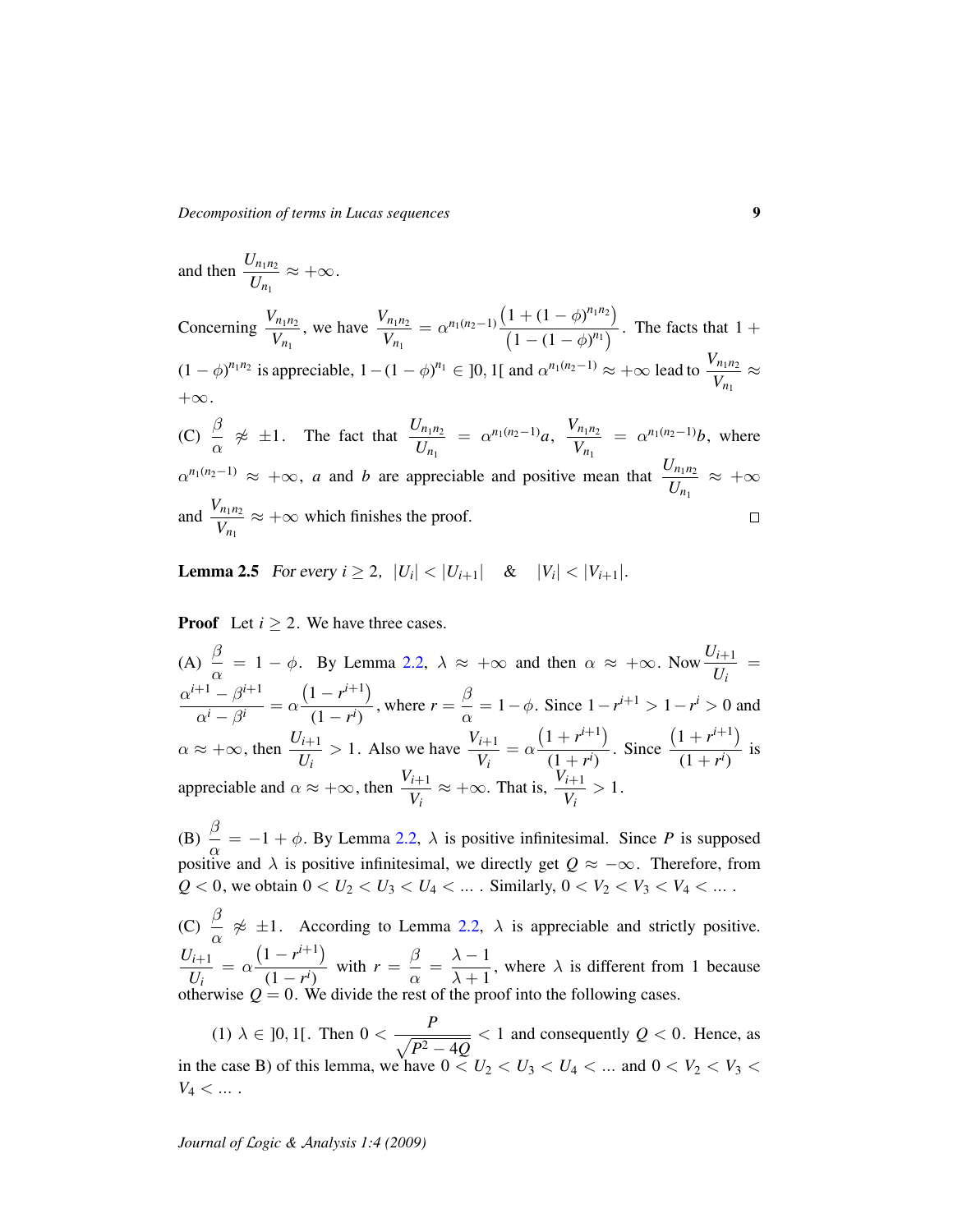*Decomposition of terms in Lucas sequences* 9

and then 
$$
\frac{U_{n_1 n_2}}{U_{n_1}} \approx +\infty
$$
.

Concerning  $\frac{V_{n_1 n_2}}{V}$  $V_{n_1}$ , we have  $\frac{V_{n_1 n_2}}{V}$  $\frac{V_{n_1 n_2}}{V_{n_1}} = \alpha^{n_1(n_2-1)} \frac{\left(1 + (1 - \phi)^{n_1 n_2}\right)}{\left(1 - (1 - \phi)^{n_1}\right)}$  $\frac{(1 + (1 - \varphi)^n)}{(1 - (1 - \varphi)^{n_1})}$ . The facts that 1 +  $(1 - \phi)^{n_1 n_2}$  is appreciable,  $1 - (1 - \phi)^{n_1} \in ]0, 1[$  and  $\alpha^{n_1(n_2-1)} \approx +\infty$  lead to  $\frac{V_{n_1 n_2}}{V_{n_1 n_2}}$  $\frac{n_1 n_2}{V_{n_1}} \approx$  $+\infty$ .

(C)  $\frac{\beta}{ }$  $\frac{\beta}{\alpha}$   $\not\approx$   $\pm 1$ . The fact that  $\frac{U_{n_1 n_2}}{U_{n_1}}$  $\frac{U_{n_1 n_2}}{U_{n_1}} = \alpha^{n_1(n_2-1)}a, \frac{V_{n_1 n_2}}{V_{n_1}}$  $\frac{(n_1 n_2)}{V_{n_1}} = \alpha^{n_1(n_2 - 1)} b$ , where  $\alpha^{n_1(n_2-1)} \approx +\infty$ , *a* and *b* are appreciable and positive mean that  $\frac{U_{n_1 n_2}}{U_{n_1 n_2}}$  $\frac{U_{n_1 n_2}}{U_{n_1}} \approx +\infty$ and  $\frac{V_{n_1 n_2}}{V}$  $\frac{n_1 n_2}{V_{n_1}} \approx +\infty$  which finishes the proof.  $\Box$ 

<span id="page-8-0"></span>**Lemma 2.5** For every  $i \geq 2$ ,  $|U_i| < |U_{i+1}|$  &  $|V_i| < |V_{i+1}|$ .

**Proof** Let  $i \geq 2$ . We have three cases.

(A)  $\frac{\beta}{ }$  $\frac{\beta}{\alpha} = 1 - \phi$ . By Lemma [2.2,](#page-0-0)  $\lambda \approx +\infty$  and then  $\alpha \approx +\infty$ . Now  $\frac{U_{i+1}}{U_i}$  $\frac{U_{i+1}}{U_i}$  =  $\alpha^{i+1} - \beta^{i+1}$  $\frac{\beta}{\alpha^i-\beta^i}=\alpha$  $(1 - r^{i+1})$  $\frac{(1 - r^{i+1})}{(1 - r^i)}$ , where  $r = \frac{\beta}{\alpha}$  $\frac{\mu}{\alpha} = 1 - \phi$ . Since  $1 - r^{i+1} > 1 - r^i > 0$  and  $\alpha \approx +\infty$ , then  $\frac{U_{i+1}}{U_i}$ *Ui*  $> 1$ . Also we have  $\frac{V_{i+1}}{V_i}$  $\frac{i+1}{V_i} = \alpha$  $(1 + r^{i+1})$  $\frac{1}{(1+r^i)}$ . Since  $(1 + r^{i+1})$  $\frac{1}{(1+r^i)}$  is appreciable and  $\alpha \approx +\infty$ , then  $\frac{V_{i+1}}{V_i}$ *Vi*  $\approx +\infty$ . That is,  $\frac{V_{i+1}}{V_i}$  $\frac{i+1}{V_i} > 1.$ 

(B)  $\stackrel{\beta}{\equiv}$  $\frac{\partial}{\partial \alpha} = -1 + \phi$ . By Lemma [2.2,](#page-0-0)  $\lambda$  is positive infinitesimal. Since *P* is supposed positive and  $\lambda$  is positive infinitesimal, we directly get  $Q \approx -\infty$ . Therefore, from  $Q < 0$ , we obtain  $0 < U_2 < U_3 < U_4 < \dots$ . Similarly,  $0 < V_2 < V_3 < V_4 < \dots$ .

(C)  $\frac{\beta}{\phantom{\big|}}$  $\frac{\alpha}{\alpha} \not\approx \pm 1$ . According to Lemma [2.2,](#page-0-0)  $\lambda$  is appreciable and strictly positive. *Ui*+<sup>1</sup>  $\frac{U_{i+1}}{U_i} = \alpha$  $(1 - r^{i+1})$  $\frac{(1 - r^{i+1})}{(1 - r^i)}$  with  $r = \frac{\beta}{\alpha}$  $\frac{\beta}{\alpha} = \frac{\lambda - 1}{\lambda + 1}$  $\frac{\lambda}{\lambda+1}$ , where  $\lambda$  is different from 1 because otherwise  $Q = 0$ . We divide the rest of the proof into the following cases.

(1)  $\lambda \in [0, 1[$ . Then  $0 < \frac{P}{\sqrt{P}}$  $\sqrt{P^2-4Q}$  $< 1$  and consequently  $Q < 0$ . Hence, as in the case B) of this lemma, we have  $0 < U_2 < U_3 < U_4 < \dots$  and  $0 < V_2 < V_3 <$  $V_4 < ...$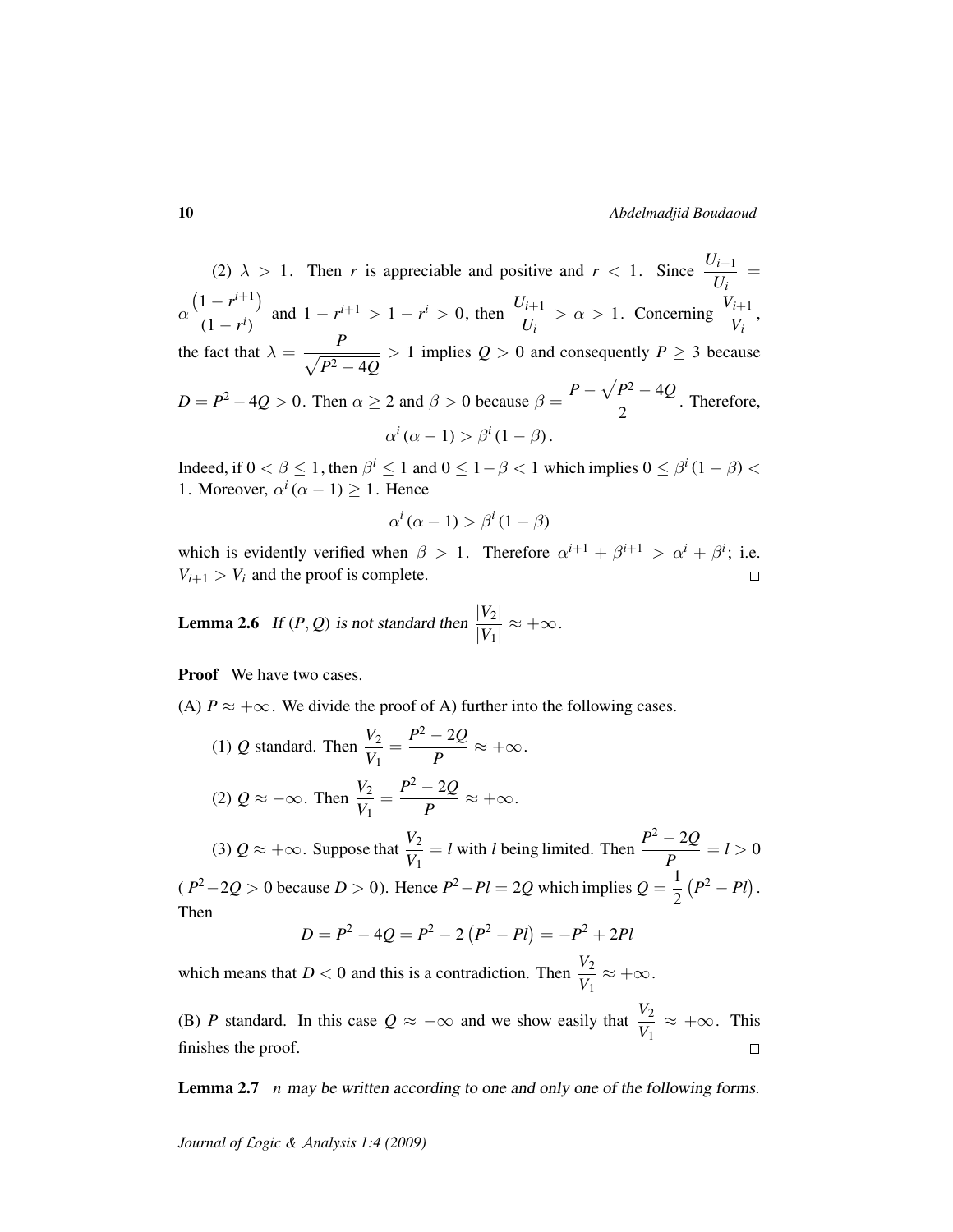(2)  $\lambda > 1$ . Then *r* is appreciable and positive and  $r < 1$ . Since  $\frac{U_{i+1}}{I_i}$  $\frac{U_{i+1}}{U_i}$  = α  $(1 - r^{i+1})$  $\frac{(1 - r^{i+1})}{(1 - r^i)}$  and  $1 - r^{i+1} > 1 - r^i > 0$ , then  $\frac{U_{i+1}}{U_i}$ *Ui*  $> \alpha > 1$ . Concerning  $\frac{V_{i+1}}{V_i}$  $\frac{i+1}{V_i}$ , the fact that  $\lambda = \frac{P}{\sqrt{2}}$  $\sqrt{P^2-4Q}$  $> 1$  implies  $Q > 0$  and consequently  $P \ge 3$  because  $D = P^2 - 4Q > 0$ . Then  $\alpha \ge 2$  and  $\beta > 0$  because  $\beta = \frac{P - \sqrt{P^2 - 4Q}}{P}$  $\frac{12}{2}$ . Therefore,  $\alpha^i(\alpha - 1) > \beta^i(1 - \beta)$ .

Indeed, if  $0 < \beta \le 1$ , then  $\beta^i \le 1$  and  $0 \le 1 - \beta < 1$  which implies  $0 \le \beta^i (1 - \beta) <$ 1. Moreover,  $\alpha^i$  ( $\alpha$  – 1)  $\geq$  1. Hence

$$
\alpha^i(\alpha - 1) > \beta^i(1 - \beta)
$$

which is evidently verified when  $\beta > 1$ . Therefore  $\alpha^{i+1} + \beta^{i+1} > \alpha^i + \beta^i$ ; i.e.  $V_{i+1} > V_i$  and the proof is complete.  $\Box$ 

<span id="page-9-1"></span>**Lemma 2.6** If  $(P, Q)$  is not standard then  $\frac{|V_2|}{|V_1|}$  $\frac{|V_2|}{|V_1|} \approx +\infty.$ 

Proof We have two cases.

(A)  $P \approx +\infty$ . We divide the proof of A) further into the following cases.

(1)  $Q$  standard. Then  $\frac{V_2}{V_1}$  $\frac{V_2}{V_1} = \frac{P^2 - 2Q}{P}$  $\frac{2z}{P} \approx +\infty.$ (2)  $Q \approx -\infty$ . Then  $\frac{V_2}{V_1}$  $\frac{V_2}{V_1} = \frac{P^2 - 2Q}{P}$  $\frac{2z}{P} \approx +\infty.$ 

(3)  $Q \approx +\infty$ . Suppose that  $\frac{V_2}{V_1}$ *V*1  $=$  *l* with *l* being limited. Then  $\frac{P^2 - 2Q}{P}$  $\frac{2Q}{P} = l > 0$  $(P^2 - 2Q > 0$  because  $D > 0$ ). Hence  $P^2 - Pl = 2Q$  which implies  $Q = \frac{1}{2}$ 2  $(P^2 - Pl)$ . Then

$$
D = P2 - 4Q = P2 - 2(P2 - Pl) = -P2 + 2Pl
$$

which means that  $D < 0$  and this is a contradiction. Then  $\frac{V_2}{V_1}$  $\frac{V_2}{V_1} \approx +\infty.$ 

(B) *P* standard. In this case  $Q \approx -\infty$  and we show easily that  $\frac{V_2}{V_1}$  $\frac{V_2}{V_1} \approx +\infty$ . This finishes the proof.  $\Box$ 

<span id="page-9-0"></span>Lemma 2.7 *n* may be written according to one and only one of the following forms.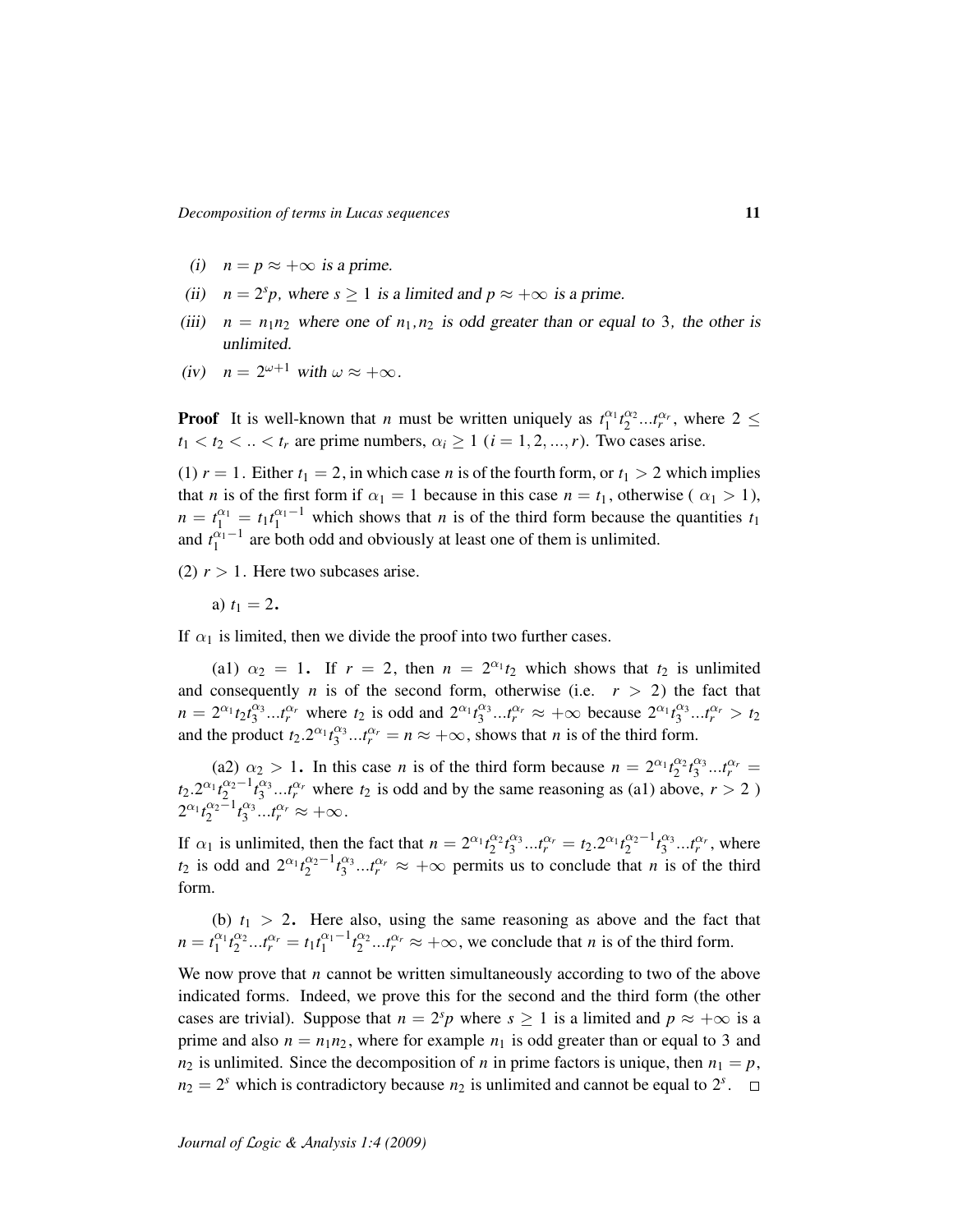- (i)  $n = p \approx +\infty$  is a prime.
- (ii)  $n = 2<sup>s</sup>p$ , where  $s \ge 1$  is a limited and  $p \approx +\infty$  is a prime.
- (iii)  $n = n_1 n_2$  where one of  $n_1, n_2$  is odd greater than or equal to 3, the other is unlimited.
- (iv)  $n = 2^{\omega+1}$  with  $\omega \approx +\infty$ .

**Proof** It is well-known that *n* must be written uniquely as  $t_1^{\alpha_1} t_2^{\alpha_2} ... t_r^{\alpha_r}$ , where  $2 \leq$  $t_1 < t_2 < ... < t_r$  are prime numbers,  $\alpha_i \geq 1$  ( $i = 1, 2, ..., r$ ). Two cases arise.

(1)  $r = 1$ . Either  $t_1 = 2$ , in which case *n* is of the fourth form, or  $t_1 > 2$  which implies that *n* is of the first form if  $\alpha_1 = 1$  because in this case  $n = t_1$ , otherwise ( $\alpha_1 > 1$ ),  $n = t_1^{a_1} = t_1 t_1^{a_1-1}$  which shows that *n* is of the third form because the quantities  $t_1$ and  $t_1^{\alpha_1-1}$  are both odd and obviously at least one of them is unlimited.

(2)  $r > 1$ . Here two subcases arise.

a)  $t_1 = 2$ .

If  $\alpha_1$  is limited, then we divide the proof into two further cases.

(a1)  $\alpha_2 = 1$ . If  $r = 2$ , then  $n = 2^{\alpha_1} t_2$  which shows that  $t_2$  is unlimited and consequently *n* is of the second form, otherwise (i.e.  $r > 2$ ) the fact that  $n = 2^{\alpha_1} t_2 t_3^{\alpha_3} ... t_r^{\alpha_r}$  where  $t_2$  is odd and  $2^{\alpha_1} t_3^{\alpha_3} ... t_r^{\alpha_r} \approx +\infty$  because  $2^{\alpha_1} t_3^{\alpha_3} ... t_r^{\alpha_r} > t_2$ and the product  $t_2 \cdot 2^{\alpha_1} t_3^{\alpha_3} \cdots t_r^{\alpha_r} = n \approx +\infty$ , shows that *n* is of the third form.

(a2)  $\alpha_2 > 1$ . In this case *n* is of the third form because  $n = 2^{\alpha_1} t_2^{\alpha_2} t_3^{\alpha_3} ... t_r^{\alpha_r} =$  $t_2 \cdot 2^{\alpha_1} t_2^{\alpha_2-1} t_3^{\alpha_3} ... t_r^{\alpha_r}$  where  $t_2$  is odd and by the same reasoning as (a1) above,  $r > 2$  )  $2^{\alpha_1} t_2^{\alpha_2-1} t_3^{\alpha_3} ... t_r^{\alpha_r} \approx +\infty.$ 

If  $\alpha_1$  is unlimited, then the fact that  $n = 2^{\alpha_1} t_2^{\alpha_2} t_3^{\alpha_3} ... t_r^{\alpha_r} = t_2 \cdot 2^{\alpha_1} t_2^{\alpha_2 - 1} t_3^{\alpha_3} ... t_r^{\alpha_r}$ , where *t*<sub>2</sub> is odd and  $2^{\alpha_1}t_2^{\alpha_2-1}t_3^{\alpha_3}...t_r^{\alpha_r} \approx +\infty$  permits us to conclude that *n* is of the third form.

(b)  $t_1 > 2$ . Here also, using the same reasoning as above and the fact that  $n = t_1^{\alpha_1} t_2^{\alpha_2} ... t_r^{\alpha_r} = t_1 t_1^{\alpha_1 - 1} t_2^{\alpha_2} ... t_r^{\alpha_r} \approx +\infty$ , we conclude that *n* is of the third form.

We now prove that *n* cannot be written simultaneously according to two of the above indicated forms. Indeed, we prove this for the second and the third form (the other cases are trivial). Suppose that  $n = 2<sup>s</sup>p$  where  $s \ge 1$  is a limited and  $p \approx +\infty$  is a prime and also  $n = n_1 n_2$ , where for example  $n_1$  is odd greater than or equal to 3 and  $n_2$  is unlimited. Since the decomposition of *n* in prime factors is unique, then  $n_1 = p$ ,  $n_2 = 2^s$  which is contradictory because  $n_2$  is unlimited and cannot be equal to  $2^s$ .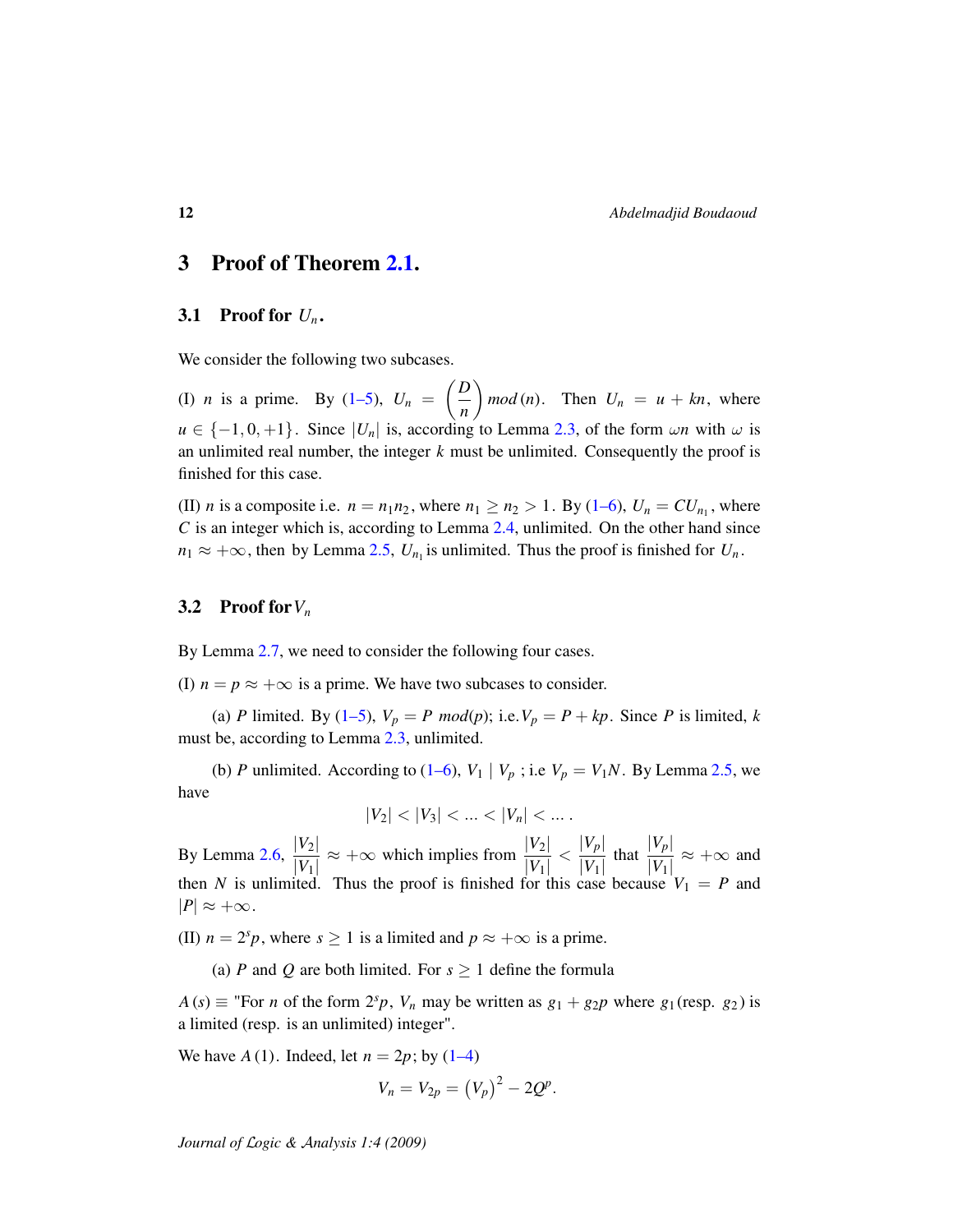### 3 Proof of Theorem [2.1.](#page-2-1)

### 3.1 Proof for  $U_n$ .

We consider the following two subcases.

(I) *n* is a prime. By [\(1–5\)](#page-1-2),  $U_n = \left(\frac{D}{n}\right)$ *n*  $\int$  *mod* (*n*). Then  $U_n = u + kn$ , where  $u \in \{-1, 0, +1\}$ . Since  $|U_n|$  is, according to Lemma [2.3,](#page-3-0) of the form  $\omega n$  with  $\omega$  is an unlimited real number, the integer *k* must be unlimited. Consequently the proof is finished for this case.

(II) *n* is a composite i.e.  $n = n_1 n_2$ , where  $n_1 \ge n_2 > 1$ . By [\(1–6\)](#page-1-3),  $U_n = CU_{n_1}$ , where *C* is an integer which is, according to Lemma [2.4,](#page-6-1) unlimited. On the other hand since  $n_1 \approx +\infty$ , then by Lemma [2.5,](#page-8-0)  $U_{n_1}$  is unlimited. Thus the proof is finished for  $U_n$ .

#### 3.2 Proof for*V<sup>n</sup>*

By Lemma [2.7,](#page-9-0) we need to consider the following four cases.

(I)  $n = p \approx +\infty$  is a prime. We have two subcases to consider.

(a) *P* limited. By [\(1–5\)](#page-1-2),  $V_p = P \text{ mod}(p)$ ; i.e.  $V_p = P + kp$ . Since *P* is limited, *k* must be, according to Lemma [2.3,](#page-3-0) unlimited.

(b) *P* unlimited. According to [\(1–6\)](#page-1-3),  $V_1 | V_p$ ; i.e  $V_p = V_1 N$ . By Lemma [2.5,](#page-8-0) we have

 $|V_2| < |V_3| < ... < |V_n| < ...$ 

By Lemma [2.6,](#page-9-1)  $\frac{|V_2|}{|V_1|}$  $|V_1|$  $\approx +\infty$  which implies from  $\frac{|V_2|}{|V_1|}$  $\frac{|V_2|}{|V_1|} < \frac{|V_p|}{|V_1|}$  $\frac{|V_p|}{|V_1|}$  that  $\frac{|V_p|}{|V_1|}$  $\frac{|V_p|}{|V_1|} \approx +\infty$  and then *N* is unlimited. Thus the proof is finished for this case because  $V_1 = P$  and  $|P| \approx +\infty$ .

(II)  $n = 2<sup>s</sup>p$ , where  $s \ge 1$  is a limited and  $p \approx +\infty$  is a prime.

(a) *P* and *Q* are both limited. For  $s \ge 1$  define the formula

 $A(s) \equiv$  "For *n* of the form  $2^{s}p$ ,  $V_n$  may be written as  $g_1 + g_2p$  where  $g_1$  (resp.  $g_2$ ) is a limited (resp. is an unlimited) integer".

We have  $A(1)$ . Indeed, let  $n = 2p$ ; by  $(1-4)$ 

$$
V_n = V_{2p} = (V_p)^2 - 2Q^p.
$$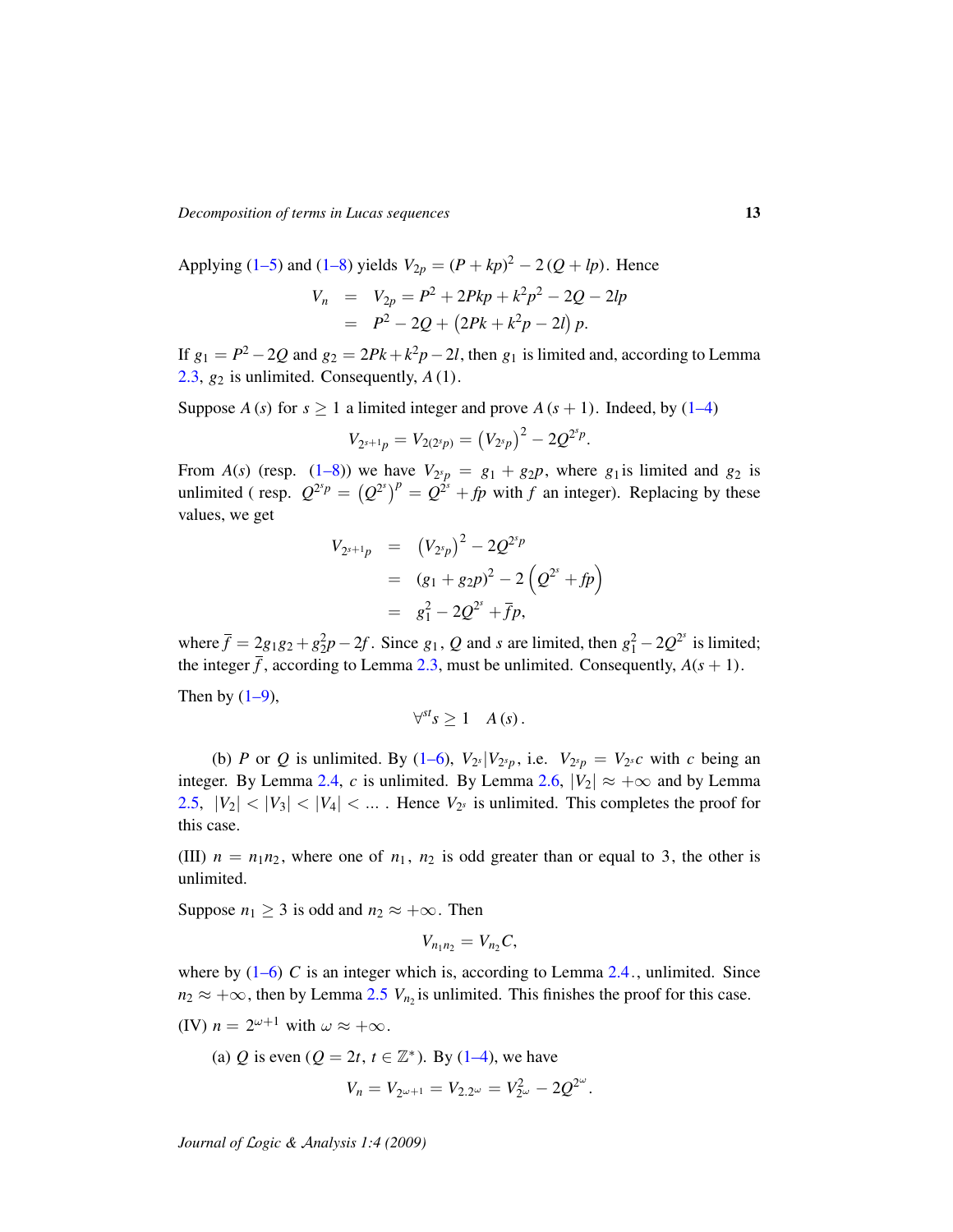*Decomposition of terms in Lucas sequences* 13

Applying [\(1–5\)](#page-1-2) and [\(1–8\)](#page-2-2) yields  $V_{2p} = (P + kp)^2 - 2(Q + lp)$ . Hence  $V_n$  =  $V_{2p} = P^2 + 2Pkp + k^2p^2 - 2Q - 2lp$  $= P^2 - 2Q + (2Pk + k^2p - 2l) p.$ 

If  $g_1 = P^2 - 2Q$  and  $g_2 = 2Pk + k^2p - 2l$ , then  $g_1$  is limited and, according to Lemma [2.3,](#page-3-0)  $g_2$  is unlimited. Consequently,  $A(1)$ .

Suppose *A* (*s*) for  $s \ge 1$  a limited integer and prove *A* ( $s + 1$ ). Indeed, by [\(1–4\)](#page-1-4)

$$
V_{2^{s+1}p} = V_{2(2^s p)} = (V_{2^s p})^2 - 2Q^{2^s p}
$$

.

From  $A(s)$  (resp. [\(1–8\)](#page-2-2)) we have  $V_{2<sup>s</sup>p} = g_1 + g_2p$ , where  $g_1$  is limited and  $g_2$  is unlimited (resp.  $Q^{2^s p} = (Q^{2^s})^p = Q^{2^s} + fp$  with *f* an integer). Replacing by these values, we get

$$
V_{2^{s+1}p} = (V_{2^{s}p})^2 - 2Q^{2^{s}p}
$$
  
=  $(g_1 + g_2p)^2 - 2(Q^{2^{s}} + fp)$   
=  $g_1^2 - 2Q^{2^{s}} + \bar{f}p$ ,

where  $\bar{f} = 2g_1g_2 + g_2^2p - 2f$ . Since  $g_1$ ,  $Q$  and *s* are limited, then  $g_1^2 - 2Q^{2^s}$  is limited; the integer  $\bar{f}$ , according to Lemma [2.3,](#page-3-0) must be unlimited. Consequently,  $A(s + 1)$ . Then by  $(1-9)$ ,

$$
\forall^{st} s \geq 1 \quad A(s).
$$

(b) *P* or *Q* is unlimited. By [\(1–6\)](#page-1-3),  $V_{2}$ <sup>*s*</sup> $|V_{2}$ <sup>*s*</sup>*p*, i.e.  $V_{2}$ <sup>*s*</sup>*p* =  $V_{2}$ <sup>*s*</sup>*c* with *c* being an integer. By Lemma [2.4,](#page-6-1) *c* is unlimited. By Lemma [2.6,](#page-9-1)  $|V_2| \approx +\infty$  and by Lemma [2.5,](#page-8-0)  $|V_2|$  <  $|V_3|$  <  $|V_4|$  < ... Hence  $V_{2^s}$  is unlimited. This completes the proof for this case.

(III)  $n = n_1 n_2$ , where one of  $n_1$ ,  $n_2$  is odd greater than or equal to 3, the other is unlimited.

Suppose  $n_1 \geq 3$  is odd and  $n_2 \approx +\infty$ . Then

$$
V_{n_1n_2}=V_{n_2}C,
$$

where by  $(1-6)$  *C* is an integer which is, according to Lemma [2.4](#page-6-1)., unlimited. Since  $n_2 \approx +\infty$ , then by Lemma [2.5](#page-8-0)  $V_{n_2}$  is unlimited. This finishes the proof for this case.

(IV)  $n = 2^{\omega+1}$  with  $\omega \approx +\infty$ .

(a) Q is even 
$$
(Q = 2t, t \in \mathbb{Z}^*)
$$
. By (1–4), we have  

$$
V_n = V_{2^{\omega+1}} = V_{2,2^{\omega}} = V_{2^{\omega}}^2 - 2Q^{2^{\omega}}.
$$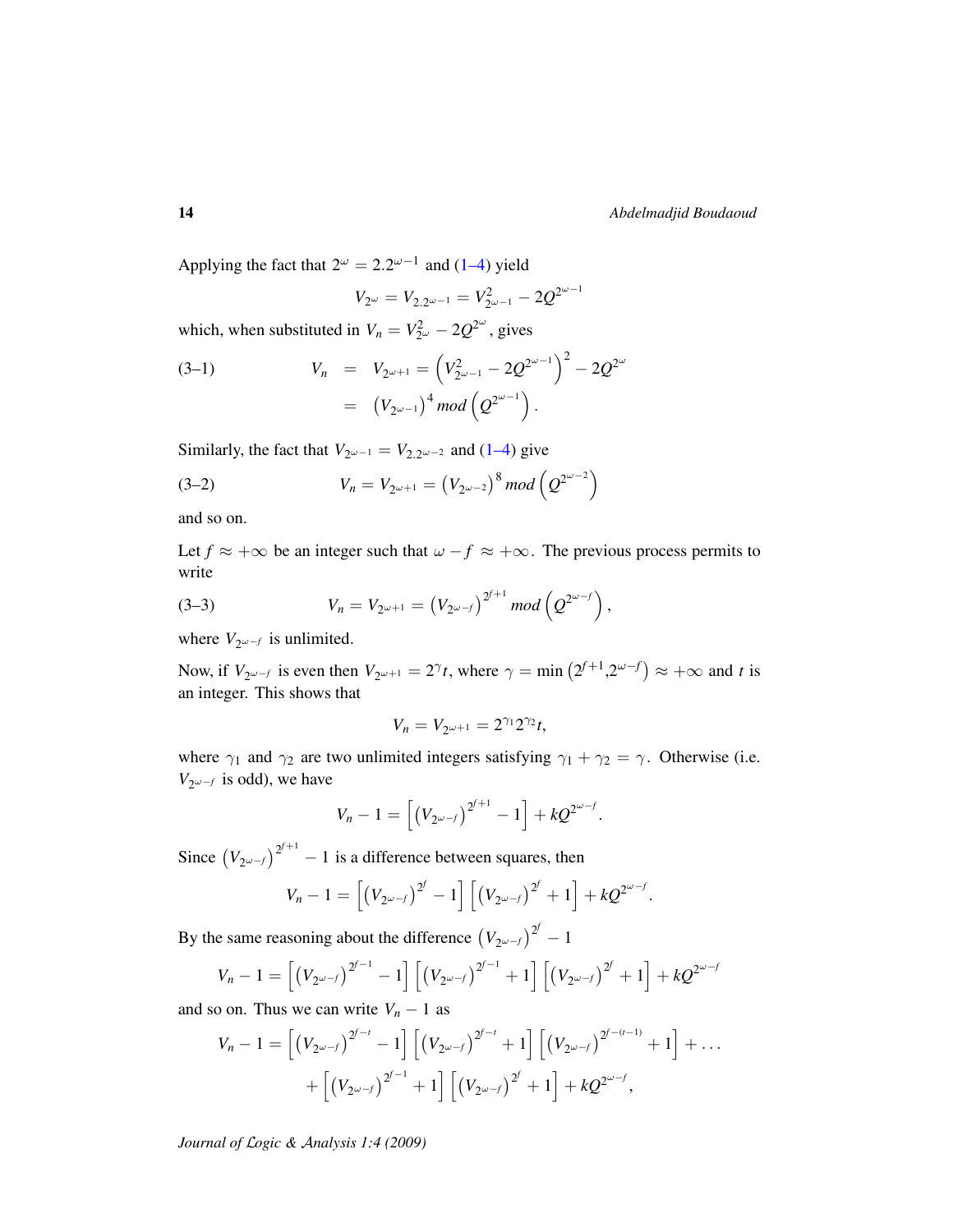Applying the fact that  $2^{\omega} = 2.2^{\omega - 1}$  and [\(1–4\)](#page-1-4) yield

$$
V_{2^{\omega}}=V_{2.2^{\omega-1}}=V_{2^{\omega-1}}^2-2Q^{2^{\omega-1}}
$$

which, when substituted in  $V_n = V_{2^{\omega}}^2 - 2Q^{2^{\omega}}$ , gives

(3-1) 
$$
V_n = V_{2^{\omega+1}} = (V_{2^{\omega-1}}^2 - 2Q^{2^{\omega-1}})^2 - 2Q^{2^{\omega}} = (V_{2^{\omega-1}})^4 \mod (Q^{2^{\omega-1}}).
$$

Similarly, the fact that  $V_{2\omega-1} = V_{2,2\omega-2}$  and [\(1–4\)](#page-1-4) give

(3-2) 
$$
V_n = V_{2^{\omega+1}} = (V_{2^{\omega-2}})^8 \mod (Q^{2^{\omega-2}})
$$

and so on.

Let  $f \approx +\infty$  be an integer such that  $\omega - f \approx +\infty$ . The previous process permits to write

(3-3) 
$$
V_n = V_{2^{\omega+1}} = (V_{2^{\omega-f}})^{2^{f+1}} \mod (Q^{2^{\omega-f}}),
$$

where  $V_{2\omega-f}$  is unlimited.

Now, if  $V_{2\omega-f}$  is even then  $V_{2\omega+1} = 2^{\gamma}t$ , where  $\gamma = \min(2^{f+1}, 2^{\omega-f}) \approx +\infty$  and t is an integer. This shows that

$$
V_n = V_{2^{\omega+1}} = 2^{\gamma_1} 2^{\gamma_2} t,
$$

where  $\gamma_1$  and  $\gamma_2$  are two unlimited integers satisfying  $\gamma_1 + \gamma_2 = \gamma$ . Otherwise (i.e.  $V_{2\omega-f}$  is odd), we have

$$
V_n - 1 = \left[ \left( V_{2^{\omega-f}} \right)^{2^{f+1}} - 1 \right] + kQ^{2^{\omega-f}}.
$$

Since  $(V_{2\omega-f})^{2^{f+1}} - 1$  is a difference between squares, then

$$
V_n - 1 = \left[ \left( V_{2^{\omega-f}} \right)^{2^f} - 1 \right] \left[ \left( V_{2^{\omega-f}} \right)^{2^f} + 1 \right] + k Q^{2^{\omega-f}}.
$$

By the same reasoning about the difference  $(V_{2^{\omega-f}})^{2^f} - 1$ 

$$
V_n - 1 = \left[ \left( V_{2^{\omega-f}} \right)^{2^{f-1}} - 1 \right] \left[ \left( V_{2^{\omega-f}} \right)^{2^{f-1}} + 1 \right] \left[ \left( V_{2^{\omega-f}} \right)^{2^f} + 1 \right] + kQ^{2^{\omega-f}}
$$

and so on. Thus we can write  $V_n - 1$  as

$$
V_n - 1 = \left[ \left( V_{2^{\omega-f}} \right)^{2^{f-t}} - 1 \right] \left[ \left( V_{2^{\omega-f}} \right)^{2^{f-t}} + 1 \right] \left[ \left( V_{2^{\omega-f}} \right)^{2^{f-(t-1)}} + 1 \right] + \dots + \left[ \left( V_{2^{\omega-f}} \right)^{2^{f-1}} + 1 \right] \left[ \left( V_{2^{\omega-f}} \right)^{2^f} + 1 \right] + kQ^{2^{\omega-f}},
$$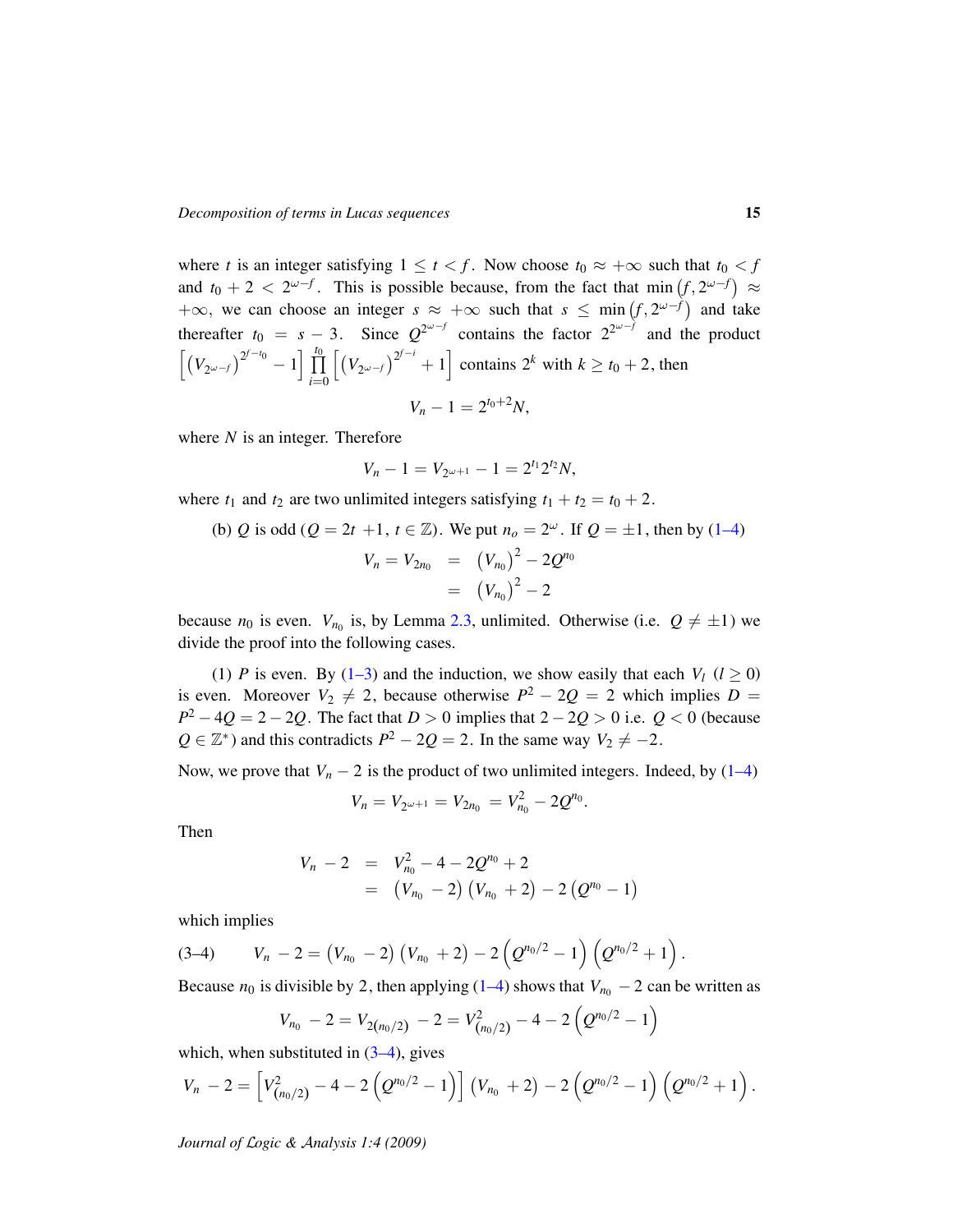where *t* is an integer satisfying  $1 \le t < f$ . Now choose  $t_0 \approx +\infty$  such that  $t_0 < f$ and  $t_0 + 2 < 2^{\omega-f}$ . This is possible because, from the fact that min  $(f, 2^{\omega-f}) \approx$  $+\infty$ , we can choose an integer  $s \approx +\infty$  such that  $s \leq \min(f, 2^{\omega-f})$  and take thereafter  $t_0 = s - 3$ . Since  $Q^{2\omega - f}$  contains the factor  $2^{2\omega - f}$  and the product  $\left[ (V_{2^{\omega-f}})^{2^{f-t_0}} - 1 \right] \prod_0^{t_0}$ *i*=0  $\left[ (V_{2^{\omega-f}})^{2^{f-i}} + 1 \right]$  contains  $2^k$  with  $k \ge t_0 + 2$ , then  $V_n - 1 = 2^{t_0 + 2} N$ ,

where *N* is an integer. Therefore

$$
V_n - 1 = V_{2^{\omega+1}} - 1 = 2^{t_1} 2^{t_2} N,
$$

where  $t_1$  and  $t_2$  are two unlimited integers satisfying  $t_1 + t_2 = t_0 + 2$ .

(b) Q is odd 
$$
(Q = 2t + 1, t \in \mathbb{Z})
$$
. We put  $n_o = 2^{\omega}$ . If  $Q = \pm 1$ , then by (1-4)  

$$
V_n = V_{2n_0} = (V_{n_0})^2 - 2Q^{n_0}
$$

$$
= (V_{n_0})^2 - 2
$$

because  $n_0$  is even.  $V_{n_0}$  is, by Lemma [2.3,](#page-3-0) unlimited. Otherwise (i.e.  $Q \neq \pm 1$ ) we divide the proof into the following cases.

(1) *P* is even. By [\(1–3\)](#page-1-5) and the induction, we show easily that each  $V_l$  ( $l \ge 0$ ) is even. Moreover  $V_2 \neq 2$ , because otherwise  $P^2 - 2Q = 2$  which implies  $D =$ *P*<sup>2</sup> − 4*Q* = 2 − 2*Q*. The fact that *D* > 0 implies that 2 − 2*Q* > 0 i.e. *Q* < 0 (because  $Q \in \mathbb{Z}^*$ ) and this contradicts  $P^2 - 2Q = 2$ . In the same way  $V_2 \neq -2$ .

Now, we prove that  $V_n - 2$  is the product of two unlimited integers. Indeed, by  $(1-4)$ 

$$
V_n = V_{2^{\omega+1}} = V_{2n_0} = V_{n_0}^2 - 2Q^{n_0}.
$$

Then

$$
V_n - 2 = V_{n_0}^2 - 4 - 2Q^{n_0} + 2
$$
  
=  $(V_{n_0} - 2) (V_{n_0} + 2) - 2 (Q^{n_0} - 1)$ 

which implies

$$
(3-4) \qquad V_n - 2 = (V_{n_0} - 2) (V_{n_0} + 2) - 2 (Q^{n_0/2} - 1) (Q^{n_0/2} + 1).
$$

Because  $n_0$  is divisible by 2, then applying [\(1–4\)](#page-1-4) shows that  $V_{n_0}$  – 2 can be written as

<span id="page-14-0"></span>
$$
V_{n_0}-2=V_{2(n_0/2)}-2=V_{(n_0/2)}^2-4-2\left(Q^{n_0/2}-1\right)
$$

which, when substituted in  $(3-4)$ , gives

$$
V_n - 2 = \left[ V_{(n_0/2)}^2 - 4 - 2 \left( Q^{n_0/2} - 1 \right) \right] \left( V_{n_0} + 2 \right) - 2 \left( Q^{n_0/2} - 1 \right) \left( Q^{n_0/2} + 1 \right).
$$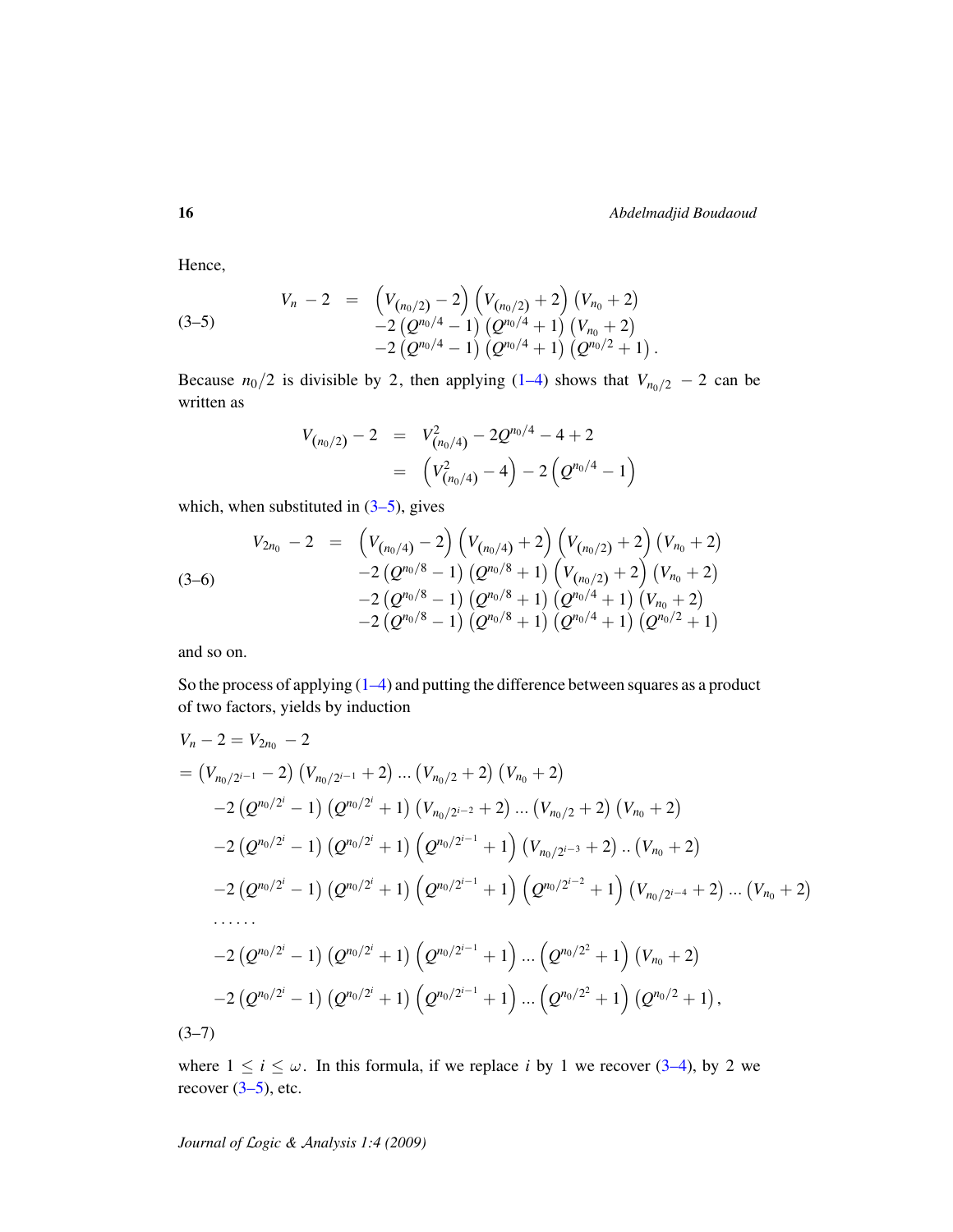Hence,

<span id="page-15-0"></span>
$$
V_n - 2 = \left( V_{(n_0/2)} - 2 \right) \left( V_{(n_0/2)} + 2 \right) \left( V_{n_0} + 2 \right) - 2 \left( Q^{n_0/4} - 1 \right) \left( Q^{n_0/4} + 1 \right) \left( V_{n_0} + 2 \right) - 2 \left( Q^{n_0/4} - 1 \right) \left( Q^{n_0/4} + 1 \right) \left( Q^{n_0/2} + 1 \right).
$$

Because  $n_0/2$  is divisible by 2, then applying [\(1–4\)](#page-1-4) shows that  $V_{n_0/2}$  – 2 can be written as

$$
V_{(n_0/2)} - 2 = V_{(n_0/4)}^2 - 2Q^{n_0/4} - 4 + 2
$$
  
= 
$$
\left(V_{(n_0/4)}^2 - 4\right) - 2\left(Q^{n_0/4} - 1\right)
$$

which, when substituted in  $(3-5)$ , gives

$$
V_{2n_0} - 2 = \left(V_{(n_0/4)} - 2\right) \left(V_{(n_0/4)} + 2\right) \left(V_{(n_0/2)} + 2\right) \left(V_{n_0} + 2\right) - 2 \left(Q^{n_0/8} - 1\right) \left(Q^{n_0/8} + 1\right) \left(V_{(n_0/2)} + 2\right) \left(V_{n_0} + 2\right) - 2 \left(Q^{n_0/8} - 1\right) \left(Q^{n_0/8} + 1\right) \left(Q^{n_0/4} + 1\right) \left(V_{n_0} + 2\right) - 2 \left(Q^{n_0/8} - 1\right) \left(Q^{n_0/8} + 1\right) \left(Q^{n_0/4} + 1\right) \left(Q^{n_0/2} + 1\right)
$$

and so on.

So the process of applying [\(1–4\)](#page-1-4) and putting the difference between squares as a product of two factors, yields by induction

$$
V_n - 2 = V_{2n_0} - 2
$$
  
=  $(V_{n_0/2^{i-1}} - 2) (V_{n_0/2^{i-1}} + 2) ... (V_{n_0/2} + 2) (V_{n_0} + 2)$   
-2  $(Q^{n_0/2^i} - 1) (Q^{n_0/2^i} + 1) (V_{n_0/2^{i-2}} + 2) ... (V_{n_0/2} + 2) (V_{n_0} + 2)$   
-2  $(Q^{n_0/2^i} - 1) (Q^{n_0/2^i} + 1) (Q^{n_0/2^{i-1}} + 1) (V_{n_0/2^{i-3}} + 2) ... (V_{n_0} + 2)$   
-2  $(Q^{n_0/2^i} - 1) (Q^{n_0/2^i} + 1) (Q^{n_0/2^{i-1}} + 1) (Q^{n_0/2^{i-2}} + 1) (V_{n_0/2^{i-4}} + 2) ... (V_{n_0} + 2)$   
......  
-2  $(Q^{n_0/2^i} - 1) (Q^{n_0/2^i} + 1) (Q^{n_0/2^{i-1}} + 1) ... (Q^{n_0/2^2} + 1) (V_{n_0} + 2)$   
-2  $(Q^{n_0/2^i} - 1) (Q^{n_0/2^i} + 1) (Q^{n_0/2^{i-1}} + 1) ... (Q^{n_0/2^2} + 1) (Q^{n_0/2} + 1),$   
(3-7)

<span id="page-15-1"></span>where  $1 \le i \le \omega$ . In this formula, if we replace *i* by 1 we recover [\(3–4\)](#page-14-0), by 2 we recover  $(3-5)$ , etc.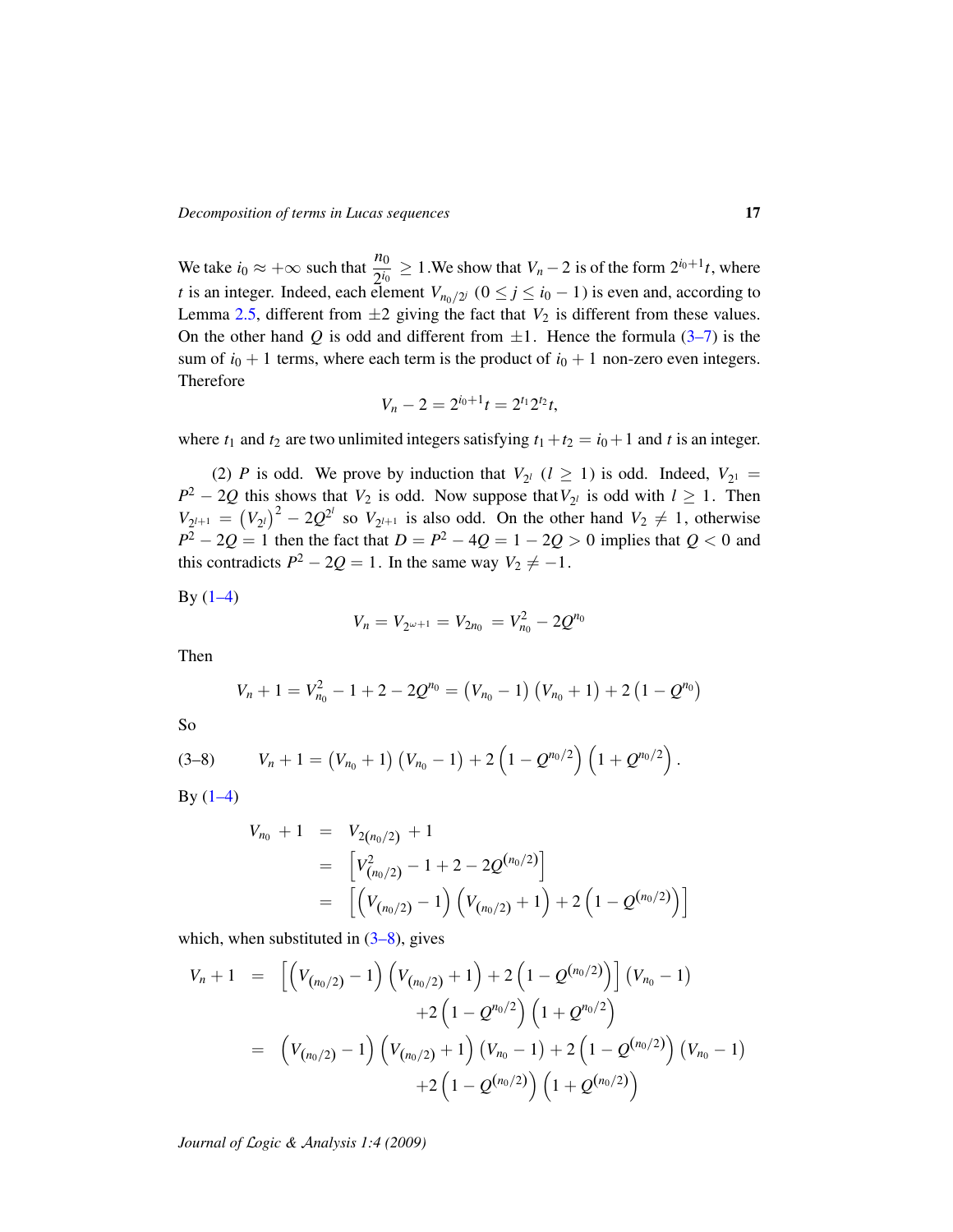We take  $i_0 \approx +\infty$  such that  $\frac{n_0}{2^{i_0}} \ge 1$ . We show that  $V_n - 2$  is of the form  $2^{i_0+1}t$ , where *t* is an integer. Indeed, each element  $V_{n_0/2^j}$  ( $0 \le j \le i_0 - 1$ ) is even and, according to Lemma [2.5,](#page-8-0) different from  $\pm 2$  giving the fact that  $V_2$  is different from these values. On the other hand *Q* is odd and different from  $\pm 1$ . Hence the formula [\(3–7\)](#page-15-1) is the sum of  $i_0 + 1$  terms, where each term is the product of  $i_0 + 1$  non-zero even integers. Therefore

$$
V_n - 2 = 2^{i_0+1}t = 2^{t_1}2^{t_2}t,
$$

where  $t_1$  and  $t_2$  are two unlimited integers satisfying  $t_1 + t_2 = i_0 + 1$  and  $t$  is an integer.

(2) *P* is odd. We prove by induction that  $V_{2^l}$  ( $l \ge 1$ ) is odd. Indeed,  $V_{2^l} =$  $P^2 - 2Q$  this shows that *V*<sub>2</sub> is odd. Now suppose that *V*<sub>2</sub>*l* is odd with  $l \ge 1$ . Then  $V_{2^{l+1}} = (V_{2^l})^2 - 2Q^{2^l}$  so  $V_{2^{l+1}}$  is also odd. On the other hand  $V_2 \neq 1$ , otherwise *P*<sup>2</sup> − 2*Q* = 1 then the fact that *D* = *P*<sup>2</sup> − 4*Q* = 1 − 2*Q* > 0 implies that *Q* < 0 and this contradicts  $P^2 - 2Q = 1$ . In the same way  $V_2 \neq -1$ .

By  $(1-4)$ 

$$
V_n = V_{2^{\omega+1}} = V_{2n_0} = V_{n_0}^2 - 2Q^{n_0}
$$

Then

<span id="page-16-0"></span>
$$
V_n + 1 = V_{n_0}^2 - 1 + 2 - 2Q^{n_0} = (V_{n_0} - 1) (V_{n_0} + 1) + 2 (1 - Q^{n_0})
$$

So

$$
(3-8) \tV_n+1=(V_{n_0}+1)(V_{n_0}-1)+2(1-Q^{n_0/2})(1+Q^{n_0/2}).
$$

By  $(1-4)$ 

$$
V_{n_0} + 1 = V_{2(n_0/2)} + 1
$$
  
= 
$$
\left[ V_{(n_0/2)}^2 - 1 + 2 - 2Q^{(n_0/2)} \right]
$$
  
= 
$$
\left[ \left( V_{(n_0/2)} - 1 \right) \left( V_{(n_0/2)} + 1 \right) + 2 \left( 1 - Q^{(n_0/2)} \right) \right]
$$

which, when substituted in  $(3-8)$ , gives

$$
V_n + 1 = \left[ \left( V_{(n_0/2)} - 1 \right) \left( V_{(n_0/2)} + 1 \right) + 2 \left( 1 - Q^{(n_0/2)} \right) \right] \left( V_{n_0} - 1 \right) + 2 \left( 1 - Q^{n_0/2} \right) \left( 1 + Q^{n_0/2} \right) = \left( V_{(n_0/2)} - 1 \right) \left( V_{(n_0/2)} + 1 \right) \left( V_{n_0} - 1 \right) + 2 \left( 1 - Q^{(n_0/2)} \right) \left( V_{n_0} - 1 \right) + 2 \left( 1 - Q^{(n_0/2)} \right) \left( 1 + Q^{(n_0/2)} \right)
$$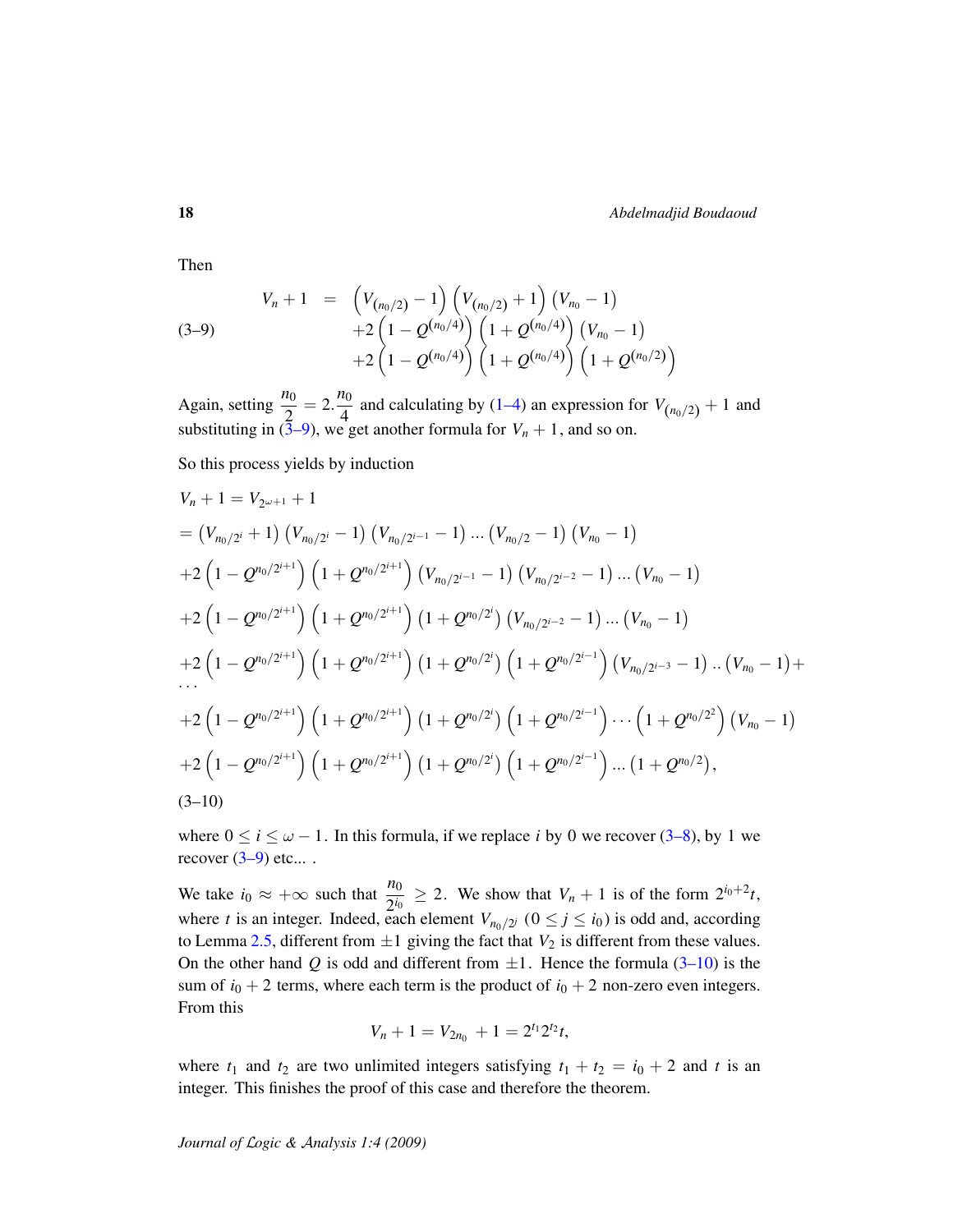Then

<span id="page-17-0"></span>
$$
V_n + 1 = \left(V_{(n_0/2)} - 1\right)\left(V_{(n_0/2)} + 1\right)\left(V_{n_0} - 1\right) + 2\left(1 - Q^{(n_0/4)}\right)\left(1 + Q^{(n_0/4)}\right)\left(V_{n_0} - 1\right) + 2\left(1 - Q^{(n_0/4)}\right)\left(1 + Q^{(n_0/4)}\right)\left(1 + Q^{(n_0/2)}\right)
$$

Again, setting  $\frac{n_0}{2} = 2.\frac{n_0}{4}$  $\frac{40}{4}$  and calculating by [\(1–4\)](#page-1-4) an expression for  $V_{(n_0/2)} + 1$  and substituting in  $(3-9)$ , we get another formula for  $V_n + 1$ , and so on.

So this process yields by induction

$$
V_n + 1 = V_{2\omega+1} + 1
$$
  
=  $(V_{n_0/2^{i}} + 1) (V_{n_0/2^{i}} - 1) (V_{n_0/2^{i-1}} - 1) ... (V_{n_0/2} - 1) (V_{n_0} - 1)$   
+  $2(1 - Q^{n_0/2^{i+1}}) (1 + Q^{n_0/2^{i+1}}) (V_{n_0/2^{i-1}} - 1) (V_{n_0/2^{i-2}} - 1) ... (V_{n_0} - 1)$   
+  $2(1 - Q^{n_0/2^{i+1}}) (1 + Q^{n_0/2^{i+1}}) (1 + Q^{n_0/2^{i}}) (V_{n_0/2^{i-2}} - 1) ... (V_{n_0} - 1)$   
+  $2(1 - Q^{n_0/2^{i+1}}) (1 + Q^{n_0/2^{i+1}}) (1 + Q^{n_0/2^{i}}) (1 + Q^{n_0/2^{i-1}}) (V_{n_0/2^{i-3}} - 1) ... (V_{n_0} - 1) +$   
...  
+  $2(1 - Q^{n_0/2^{i+1}}) (1 + Q^{n_0/2^{i+1}}) (1 + Q^{n_0/2^{i}}) (1 + Q^{n_0/2^{i-1}}) ... (1 + Q^{n_0/2^{2}}) (V_{n_0} - 1)$   
+  $2(1 - Q^{n_0/2^{i+1}}) (1 + Q^{n_0/2^{i+1}}) (1 + Q^{n_0/2^{i}}) (1 + Q^{n_0/2^{i-1}}) ... (1 + Q^{n_0/2}),$   
(3-10)

where  $0 \le i \le \omega - 1$ . In this formula, if we replace *i* by 0 we recover [\(3–8\)](#page-16-0), by 1 we recover  $(3-9)$  etc....

We take  $i_0 \approx +\infty$  such that  $\frac{n_0}{2^{i_0}} \geq 2$ . We show that  $V_n + 1$  is of the form  $2^{i_0+2}t$ , where *t* is an integer. Indeed, each element  $V_{n_0/2^j}$  ( $0 \le j \le i_0$ ) is odd and, according to Lemma [2.5,](#page-8-0) different from  $\pm 1$  giving the fact that  $V_2$  is different from these values. On the other hand *Q* is odd and different from  $\pm 1$ . Hence the formula [\(3–10\)](#page-17-1) is the sum of  $i_0 + 2$  terms, where each term is the product of  $i_0 + 2$  non-zero even integers. From this

<span id="page-17-1"></span>
$$
V_n + 1 = V_{2n_0} + 1 = 2^{t_1} 2^{t_2} t,
$$

where  $t_1$  and  $t_2$  are two unlimited integers satisfying  $t_1 + t_2 = i_0 + 2$  and  $t$  is an integer. This finishes the proof of this case and therefore the theorem.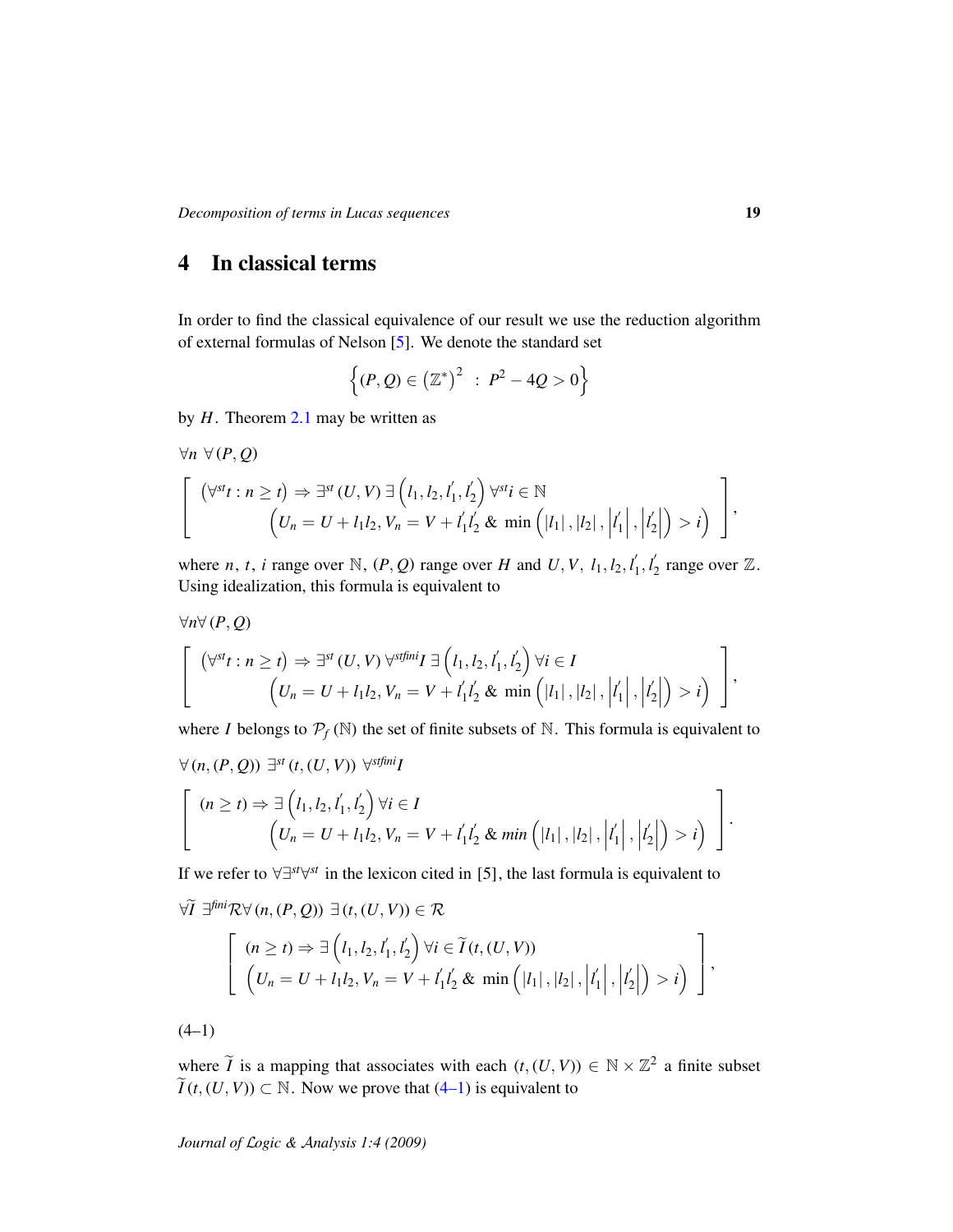# 4 In classical terms

In order to find the classical equivalence of our result we use the reduction algorithm of external formulas of Nelson [\[5\]](#page-22-5). We denote the standard set

$$
\{(P,Q) \in (\mathbb{Z}^*)^2 : P^2 - 4Q > 0\}
$$

by *H*. Theorem [2.1](#page-2-1) may be written as

$$
\forall n \ \forall (P, Q)
$$
\n
$$
\left[ \begin{array}{c} (\forall^{st} t : n \geq t) \Rightarrow \exists^{st} (U, V) \ \exists \left( l_1, l_2, l'_1, l'_2 \right) \forall^{st} i \in \mathbb{N} \\ \left( U_n = U + l_1 l_2, V_n = V + l'_1 l'_2 \ \& \ \min \left( |l_1|, |l_2|, \left| l'_1 \right|, \left| l'_2 \right| \right) > i \right) \end{array} \right],
$$

where *n*, *t*, *i* range over N,  $(P, Q)$  range over *H* and *U*, *V*,  $l_1, l_2, l'_1$  $l'_{1}, l'_{2}$  $y_2'$  range over  $\mathbb{Z}$ . Using idealization, this formula is equivalent to

$$
\left[\begin{array}{c}(\forall^{st} t : n \geq t) \Rightarrow \exists^{st} (U, V) \,\forall^{stfini} I \exists (l_1, l_2, l'_1, l'_2) \,\forall i \in I \\ (U_n = U + l_1 l_2, V_n = V + l'_1 l'_2 \,\& \min\left(|l_1|, |l_2|, |l'_1|, |l'_2|\right) > i\right)\end{array}\right],
$$

where *I* belongs to  $P_f(\mathbb{N})$  the set of finite subsets of  $\mathbb{N}$ . This formula is equivalent to

$$
\forall (n, (P, Q)) \exists^{st} (t, (U, V)) \forall^{stfini} I
$$
\n
$$
\begin{bmatrix}\n(n \ge t) \Rightarrow \exists (l_1, l_2, l'_1, l'_2) \forall i \in I \\
(U_n = U + l_1 l_2, V_n = V + l'_1 l'_2 \& \min([l_1], |l_2|, |l'_1|, |l'_2|) > i\n\end{bmatrix}.
$$

If we refer to ∀∃*st*∀ *st* in the lexicon cited in [5], the last formula is equivalent to

$$
\forall \widetilde{I} \ \exists^{\text{fini}} \mathcal{R} \forall (n, (P, Q)) \ \exists (t, (U, V)) \in \mathcal{R}
$$
\n
$$
\left[ (n \geq t) \Rightarrow \exists (l_1, l_2, l'_1, l'_2) \ \forall i \in \widetilde{I}(t, (U, V)) \right]
$$
\n
$$
(U_n = U + l_1 l_2, V_n = V + l'_1 l'_2 \& \min\left( |l_1|, |l_2|, |l'_1|, |l'_2| \right) > i \right) \bigg],
$$

<span id="page-18-0"></span> $(4-1)$ 

∀*n*∀ (*P*, *Q*)

where  $\widetilde{I}$  is a mapping that associates with each  $(t, (U, V)) \in \mathbb{N} \times \mathbb{Z}^2$  a finite subset  $ilde{I}(t, (U, V)) \subset \mathbb{N}$ . Now we prove that [\(4–1\)](#page-18-0) is equivalent to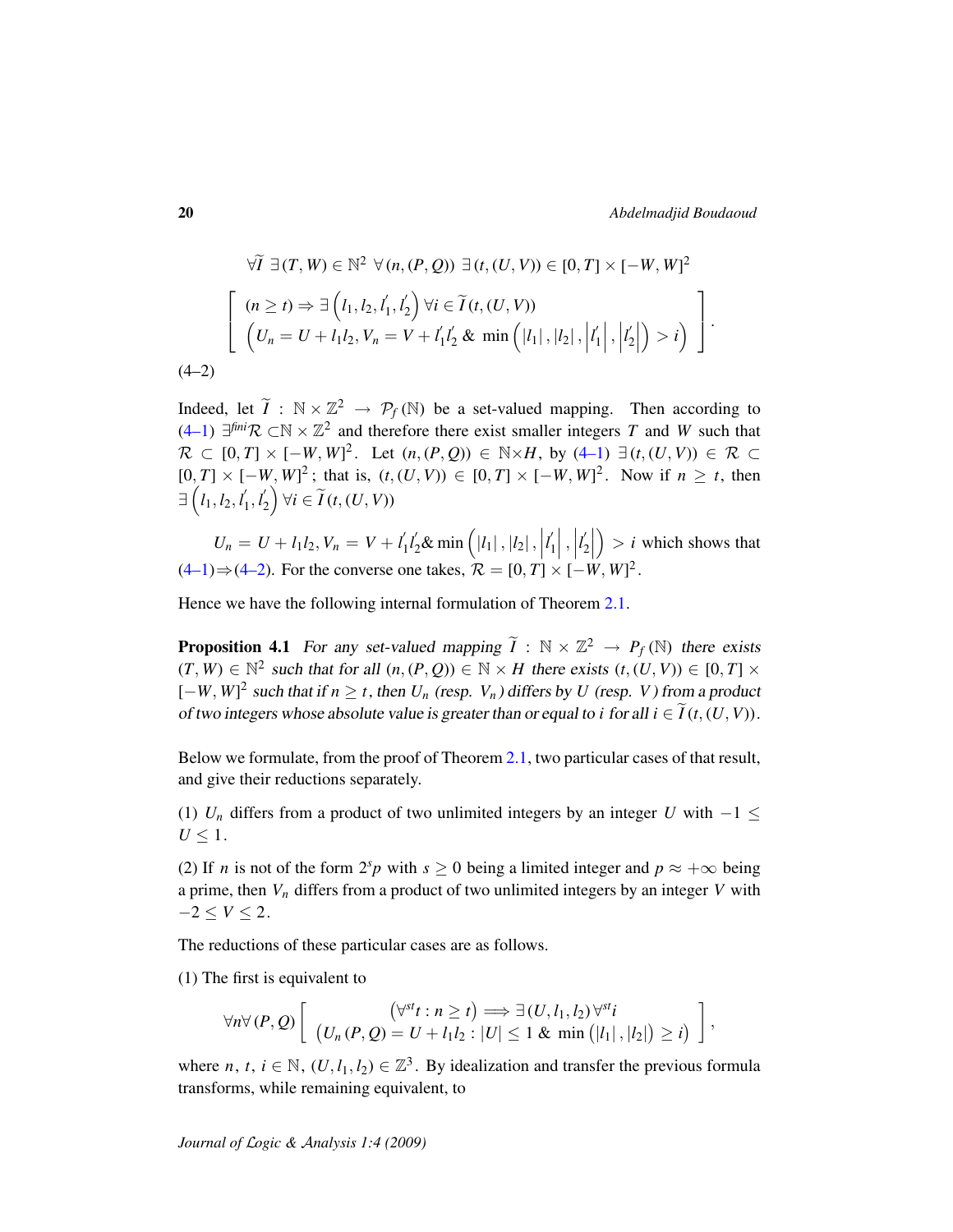$$
\forall \widetilde{I} \ \exists (T, W) \in \mathbb{N}^2 \ \forall (n, (P, Q)) \ \exists (t, (U, V)) \in [0, T] \times [-W, W]^2
$$
\n
$$
\left[ \begin{array}{c} (n \ge t) \Rightarrow \exists (l_1, l_2, l'_1, l'_2) \ \forall i \in \widetilde{I}(t, (U, V)) \\ \left( U_n = U + l_1 l_2, V_n = V + l'_1 l'_2 \ \& \min\left( |l_1|, |l_2|, \left| l'_1 \right|, \left| l'_2 \right| \right) > i \right) \end{array} \right].
$$
\n
$$
(4-2)
$$

<span id="page-19-0"></span>Indeed, let  $\widetilde{I}$  :  $\mathbb{N} \times \mathbb{Z}^2 \rightarrow \mathcal{P}_f(\mathbb{N})$  be a set-valued mapping. Then according to  $(4-1)$  ∃<sup>fini</sup>R ⊂N ×  $\mathbb{Z}^2$  and therefore there exist smaller integers *T* and *W* such that  $\mathcal{R} \subset [0, T] \times [-W, W]^2$ . Let  $(n, (P, Q)) \in \mathbb{N} \times H$ , by  $(4-1) \exists (t, (U, V)) \in \mathcal{R} \subset$  $[0, T] \times [-W, W]^2$ ; that is,  $(t, (U, V)) \in [0, T] \times [-W, W]^2$ . Now if *n* ≥ *t*, then  $\exists$   $\left(l_1, l_2, l'_1\right)$  $\frac{1}{1}, \frac{1}{2}$  $\mathcal{I}_2\bigg\rangle \forall i \in \widetilde{I}(t,(U,V))$ 

 $U_n = U + l_1 l_2, V_n = V + l'_1$  $\int_1^{\prime} l'_2 \& \min \left( |l_1| \, , |l_2| \, , |l_3| \, \right)$  $l_1'$  $\begin{bmatrix} 1 \\ 1 \end{bmatrix}$ , *l* 0  $\binom{1}{2}$  $\bigg\} > i$  which shows that  $(4-1)$   $\Rightarrow$   $(4-2)$ . For the converse one takes,  $\mathcal{R} = [0, T] \times [-W, W]^2$ .

Hence we have the following internal formulation of Theorem [2.1.](#page-2-1)

**Proposition 4.1** For any set-valued mapping  $\widetilde{I}$  :  $\mathbb{N} \times \mathbb{Z}^2 \rightarrow P_f(\mathbb{N})$  there exists  $(T, W) \in \mathbb{N}^2$  such that for all  $(n, (P, Q)) \in \mathbb{N} \times H$  there exists  $(t, (U, V)) \in [0, T] \times$  $[-W, W]^2$  such that if  $n \ge t$ , then  $U_n$  (resp.  $V_n$ ) differs by  $U$  (resp.  $V$ ) from a product of two integers whose absolute value is greater than or equal to *i* for all  $i \in \tilde{I}(t,(U,V))$ .

Below we formulate, from the proof of Theorem [2.1,](#page-2-1) two particular cases of that result, and give their reductions separately.

(1)  $U_n$  differs from a product of two unlimited integers by an integer *U* with  $-1 \leq$  $U \leq 1$ .

(2) If *n* is not of the form  $2^{s}p$  with  $s \ge 0$  being a limited integer and  $p \approx +\infty$  being a prime, then *V<sup>n</sup>* differs from a product of two unlimited integers by an integer *V* with  $-2 \leq V$  ≤ 2.

The reductions of these particular cases are as follows.

(1) The first is equivalent to

$$
\forall n \forall (P, Q) \left[ \begin{array}{c} (\forall^{st} t : n \geq t) \Longrightarrow \exists (U, l_1, l_2) \forall^{st} i \\ (U_n(P, Q) = U + l_1 l_2 : |U| \leq 1 \& \min(|l_1|, |l_2|) \geq i) \end{array} \right],
$$

where *n*, *t*,  $i \in \mathbb{N}$ ,  $(U, l_1, l_2) \in \mathbb{Z}^3$ . By idealization and transfer the previous formula transforms, while remaining equivalent, to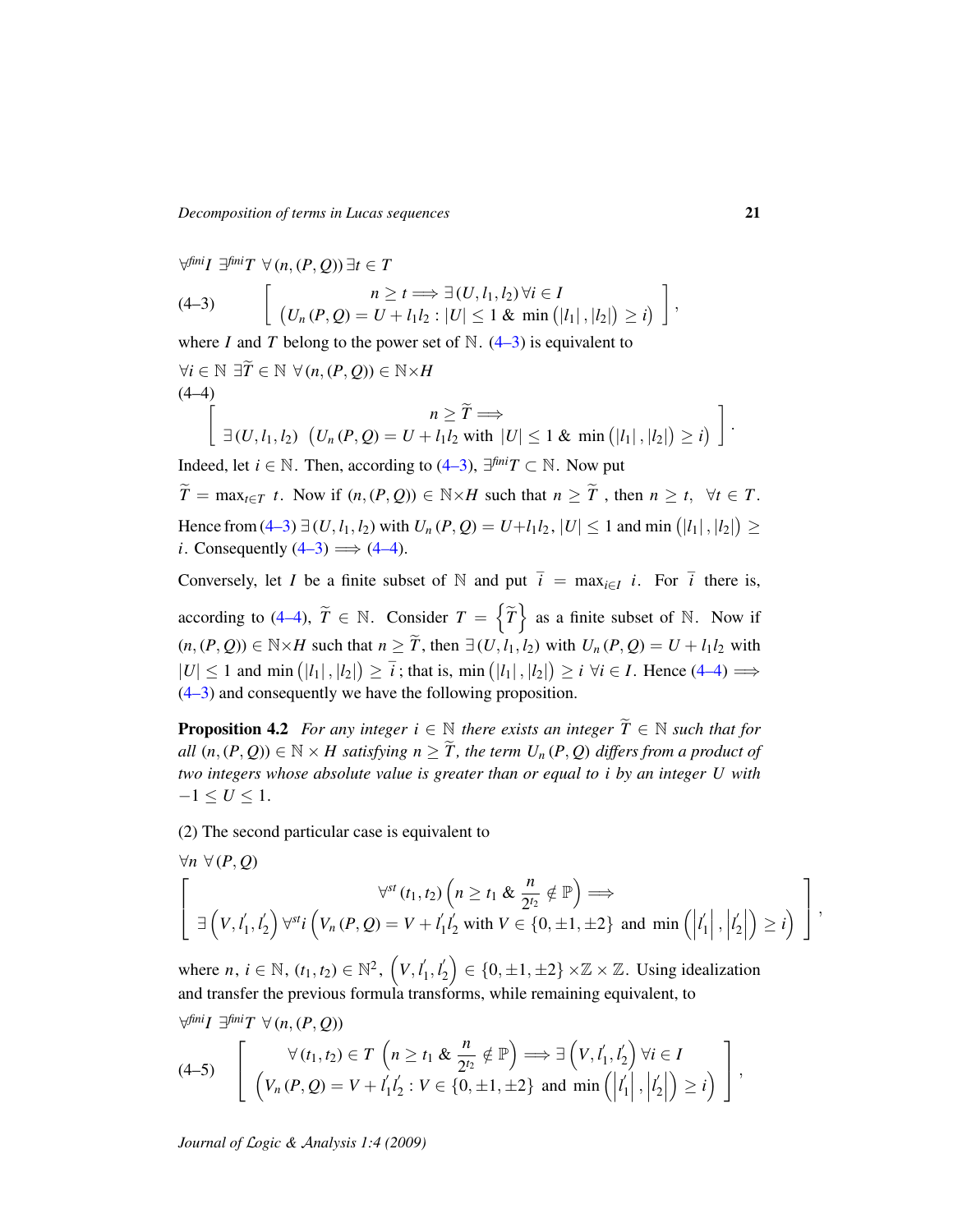*Decomposition of terms in Lucas sequences* 21

<span id="page-20-0"></span>
$$
\forall^{\text{fini}} I \exists^{\text{fini}} T \ \forall (n, (P, Q)) \exists t \in T
$$
\n
$$
(4-3) \qquad \left[ \begin{array}{c} n \geq t \Longrightarrow \exists (U, l_1, l_2) \ \forall i \in I \\ (U_n(P, Q) = U + l_1 l_2 : |U| \leq 1 \ \& \min(|l_1|, |l_2|) \geq i) \end{array} \right],
$$
\n
$$
\text{where } I \text{ and } T \text{ belong to the power set of } \mathbb{N}. \ (4-3) \text{ is equivalent to}
$$

$$
\forall i \in \mathbb{N} \exists \widetilde{T} \in \mathbb{N} \ \forall (n, (P, Q)) \in \mathbb{N} \times H
$$
  
(4-4)  

$$
\left[ \exists (U, l_1, l_2) \ \left( U_n(P, Q) = U + l_1 l_2 \ \text{with} \ |U| \le 1 \ \& \ \min(|l_1|, |l_2|) \ge i \right) \right].
$$

<span id="page-20-1"></span>Indeed, let *i* ∈ N. Then, according to [\(4–3\)](#page-20-0),  $\exists^{fin}T \subset N$ . Now put  $\widetilde{T} = \max_{t \in T} t$ . Now if  $(n, (P, Q)) \in \mathbb{N} \times H$  such that  $n \geq \widetilde{T}$ , then  $n \geq t$ ,  $\forall t \in T$ . Hence from [\(4–3\)](#page-20-0)  $\exists (U, l_1, l_2)$  with  $U_n(P, Q) = U + l_1 l_2$ ,  $|U| \le 1$  and min  $(|l_1|, |l_2|) \ge$ *i*. Consequently  $(4-3) \implies (4-4)$ .

Conversely, let *I* be a finite subset of  $N$  and put  $\overline{i} = \max_{i \in I} i$ . For  $\overline{i}$  there is, according to [\(4–4\)](#page-20-1),  $\widetilde{T} \in \mathbb{N}$ . Consider  $T = \left\{ \widetilde{T} \right\}$  as a finite subset of  $\mathbb{N}$ . Now if  $(n, (P, Q)) \in \mathbb{N} \times H$  such that  $n \geq \tilde{T}$ , then  $\exists (U, l_1, l_2)$  with  $U_n(P, Q) = U + l_1 l_2$  with  $|U| \le 1$  and min  $(|l_1|, |l_2|) \ge \overline{i}$ ; that is, min  $(|l_1|, |l_2|) \ge i \forall i \in I$ . Hence [\(4–4\)](#page-20-1)  $\implies$ [\(4–3\)](#page-20-0) and consequently we have the following proposition.

**Proposition 4.2** *For any integer*  $i \in \mathbb{N}$  *there exists an integer*  $\widetilde{T} \in \mathbb{N}$  *such that for all*  $(n, (P, Q)) \in \mathbb{N} \times H$  satisfying  $n \geq \tilde{T}$ , the term  $U_n(P, Q)$  differs from a product of *two integers whose absolute value is greater than or equal to i by an integer U with*  $-1 \le U \le 1$ .

(2) The second particular case is equivalent to

$$
\forall n \ \forall (P, Q)
$$
\n
$$
\left[\begin{array}{c}\n\forall s \ (t_1, t_2) \left(n \geq t_1 \ \& \frac{n}{2^{t_2}} \notin \mathbb{P}\right) \Longrightarrow \\
\exists \left(V, l_1', l_2'\right) \forall^{st} i \left(V_n(P, Q) = V + l_1' l_2' \ \text{with } V \in \{0, \pm 1, \pm 2\} \ \text{and } \min\left(\left|l_1'\right|, \left|l_2'\right|\right) \geq i\right)\end{array}\right],
$$

where  $n, i \in \mathbb{N}, (t_1, t_2) \in \mathbb{N}^2, (V, l_1')$  $l'_{1}, l'_{2}$  $\binom{1}{2} \in \{0, \pm 1, \pm 2\} \times \mathbb{Z} \times \mathbb{Z}$ . Using idealization and transfer the previous formula transforms, while remaining equivalent, to

<span id="page-20-2"></span>
$$
\forall^{\text{fini}} I \exists^{\text{fini}} T \ \forall (n, (P, Q))
$$
\n
$$
(4-5) \left[ \begin{array}{c} \forall (t_1, t_2) \in T \ \left( n \geq t_1 \ \& \ \frac{n}{2^{t_2}} \notin \mathbb{P} \right) \Longrightarrow \exists \left( V, l_1', l_2' \right) \forall i \in I \\ \left( V_n(P, Q) = V + l_1' l_2' : V \in \{0, \pm 1, \pm 2\} \ \text{and min} \left( \left| l_1' \right|, \left| l_2' \right| \right) \geq i \right) \end{array} \right],
$$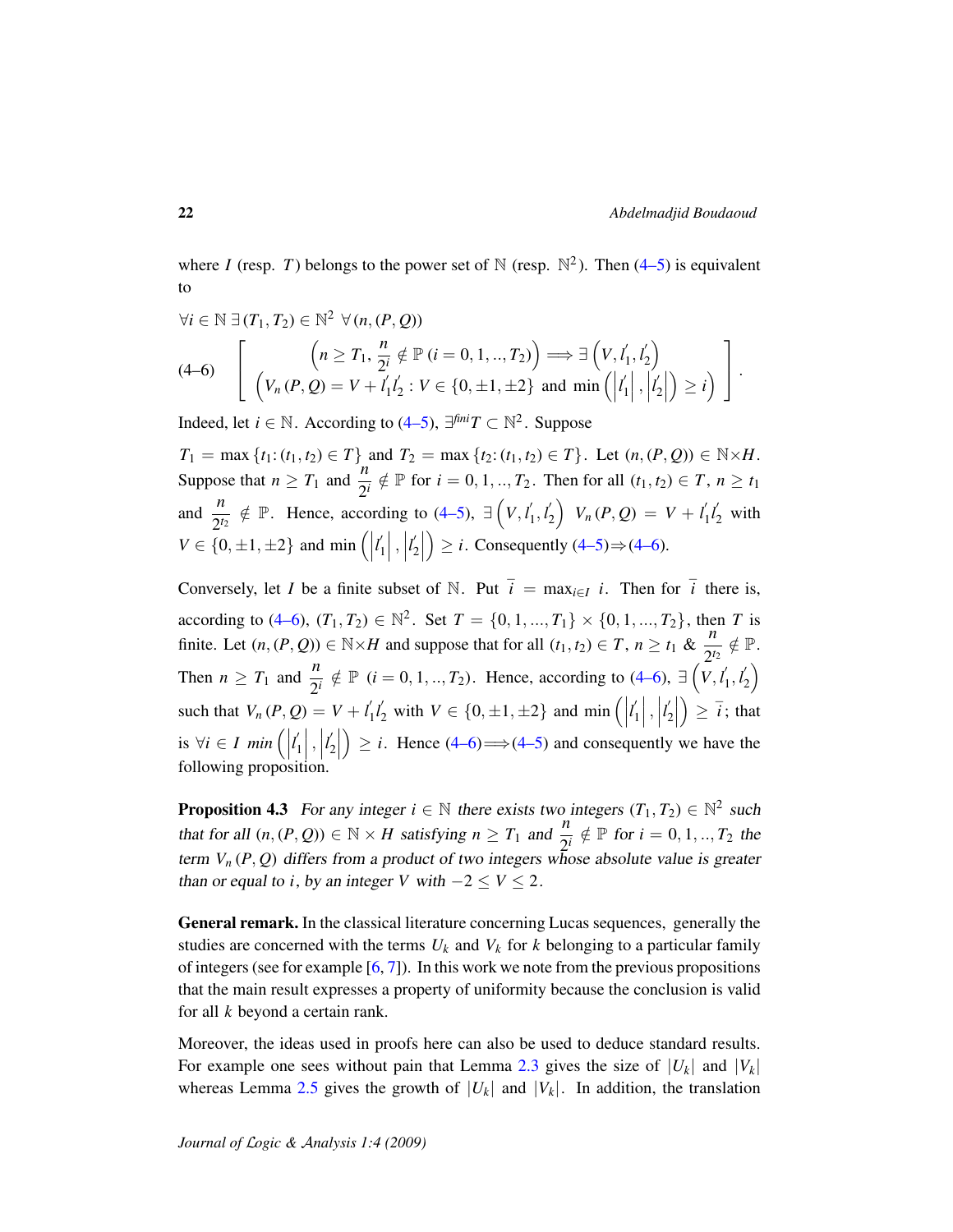where *I* (resp. *T*) belongs to the power set of  $N$  (resp.  $N^2$ ). Then [\(4–5\)](#page-20-2) is equivalent to

<span id="page-21-0"></span>
$$
\forall i \in \mathbb{N} \ \exists (T_1, T_2) \in \mathbb{N}^2 \ \forall (n, (P, Q))
$$
\n
$$
(4-6) \ \begin{bmatrix} \left( n \ge T_1, \frac{n}{2^i} \notin \mathbb{P} \ (i = 0, 1, \dots, T_2) \right) \Longrightarrow \exists \left( V, l_1', l_2' \right) \\ \left( V_n(P, Q) = V + l_1' l_2' : V \in \{0, \pm 1, \pm 2\} \ \text{and min} \left( \left| l_1' \right|, \left| l_2' \right| \right) \ge i \right) \end{bmatrix}.
$$

Indeed, let *i* ∈  $\mathbb N$ . According to [\(4–5\)](#page-20-2),  $\exists^{fin}T \subset \mathbb N^2$ . Suppose

 $T_1 = \max \{t_1 : (t_1, t_2) \in T\}$  and  $T_2 = \max \{t_2 : (t_1, t_2) \in T\}$ . Let  $(n, (P, Q)) \in \mathbb{N} \times H$ . Suppose that  $n \geq T_1$  and  $\frac{n}{2^i} \notin \mathbb{P}$  for  $i = 0, 1, ..., T_2$ . Then for all  $(t_1, t_2) \in T$ ,  $n \geq t_1$ and  $\frac{n}{2^{t_2}} \notin \mathbb{P}$ . Hence, according to [\(4–5\)](#page-20-2),  $\exists (V, l_1)$  $\frac{1}{1}, l_2'$  $V_2$   $V_n(P,Q) = V + l'_1$  $\frac{1}{2}l_2'$  with  $V \in \{0, \pm 1, \pm 2\}$  and min  $\left( \right)$  $l_1$ <sup> $\prime$ </sup>  $\begin{bmatrix} 1 \\ 1 \end{bmatrix}$ ,  $\begin{bmatrix} \end{bmatrix}$ *l* 0  $\binom{1}{2}$  $\geq i$ . Consequently  $(4-5) \Rightarrow (4-6)$ .

Conversely, let *I* be a finite subset of  $\mathbb N$ . Put  $\overline{i} = \max_{i \in I} i$ . Then for  $\overline{i}$  there is, according to [\(4–6\)](#page-21-0),  $(T_1, T_2) \in \mathbb{N}^2$ . Set  $T = \{0, 1, ..., T_1\} \times \{0, 1, ..., T_2\}$ , then *T* is finite. Let  $(n, (P, Q)) \in \mathbb{N} \times H$  and suppose that for all  $(t_1, t_2) \in T$ ,  $n \ge t_1$  &  $\frac{n}{2!}$  $\frac{n}{2^{t_2}} \notin \mathbb{P}$ . Then  $n \geq T_1$  and  $\frac{n}{2^i} \notin \mathbb{P}$   $(i = 0, 1, ..., T_2)$ . Hence, according to [\(4–6\)](#page-21-0),  $\exists \left(\overline{V}, \overline{l}_1\right)$  $\frac{1}{1}, l_2'$  $\binom{1}{2}$ such that  $V_n(P,Q) = V + l'_1$  $\binom{1}{2}$  with  $V \in \{0, \pm 1, \pm 2\}$  and min  $\left( \left| \right| \right)$  $l_1$  $\begin{bmatrix} \n\end{bmatrix}$ ,  $\begin{bmatrix} \n\end{bmatrix}$  $l'$  $\binom{1}{2}$  $\Big) \geq \overline{i}$ ; that  $\text{is } ∀i \in I \text{ min } \Big( \Big|$  $l_1$  $\begin{bmatrix} \n\end{bmatrix}, \n\begin{bmatrix} \n\end{bmatrix}$  $l'$  $\binom{1}{2}$  $\Rightarrow$  *i*. Hence [\(4–6\)](#page-21-0)  $\Rightarrow$  [\(4–5\)](#page-20-2) and consequently we have the following proposition.

**Proposition 4.3** For any integer  $i \in \mathbb{N}$  there exists two integers  $(T_1, T_2) \in \mathbb{N}^2$  such that for all  $(n, (P, Q)) \in \mathbb{N} \times H$  satisfying  $n \geq T_1$  and  $\frac{n}{2^i} \notin \mathbb{P}$  for  $i = 0, 1, ..., T_2$  the term  $V_n(P, Q)$  differs from a product of two integers whose absolute value is greater than or equal to *i*, by an integer *V* with  $-2 \le V \le 2$ .

General remark. In the classical literature concerning Lucas sequences, generally the studies are concerned with the terms  $U_k$  and  $V_k$  for  $k$  belonging to a particular family of integers (see for example  $[6, 7]$  $[6, 7]$  $[6, 7]$ ). In this work we note from the previous propositions that the main result expresses a property of uniformity because the conclusion is valid for all *k* beyond a certain rank.

Moreover, the ideas used in proofs here can also be used to deduce standard results. For example one sees without pain that Lemma [2.3](#page-3-0) gives the size of  $|U_k|$  and  $|V_k|$ whereas Lemma [2.5](#page-8-0) gives the growth of  $|U_k|$  and  $|V_k|$ . In addition, the translation